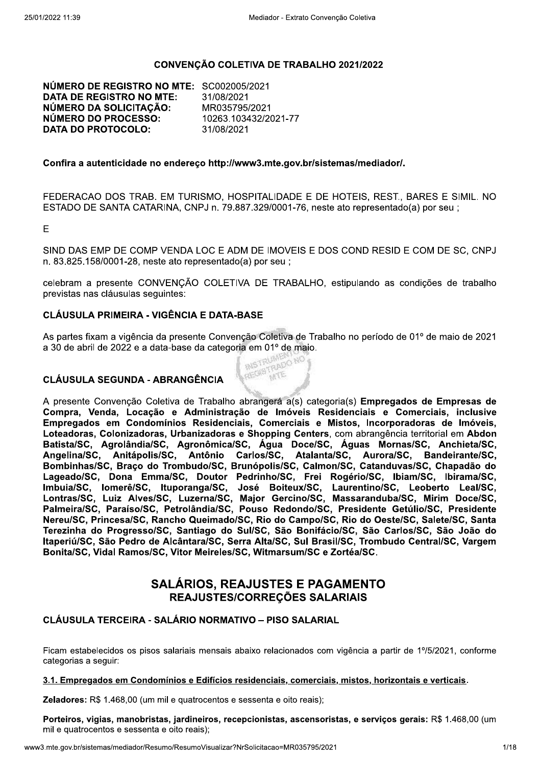#### CONVENÇÃO COLETIVA DE TRABALHO 2021/2022

NÚMERO DE REGISTRO NO MTE: SC002005/2021 **DATA DE REGISTRO NO MTE:** 31/08/2021 NÚMERO DA SOLICITAÇÃO: MR035795/2021 NÚMERO DO PROCESSO: 10263.103432/2021-77 **DATA DO PROTOCOLO:** 31/08/2021

#### Confira a autenticidade no endereco http://www3.mte.gov.br/sistemas/mediador/.

FEDERACAO DOS TRAB. EM TURISMO, HOSPITALIDADE E DE HOTEIS, REST., BARES E SIMIL, NO ESTADO DE SANTA CATARINA, CNPJ n. 79.887.329/0001-76, neste ato representado(a) por seu ;

E.

SIND DAS EMP DE COMP VENDA LOC E ADM DE IMOVEIS E DOS COND RESID E COM DE SC. CNPJ n. 83.825.158/0001-28, neste ato representado(a) por seu;

celebram a presente CONVENÇÃO COLETIVA DE TRABALHO, estipulando as condições de trabalho previstas nas cláusulas seguintes:

#### **CLÁUSULA PRIMEIRA - VIGÊNCIA E DATA-BASE**

As partes fixam a vigência da presente Convenção Coletiva de Trabalho no período de 01º de maio de 2021 a 30 de abril de 2022 e a data-base da categoria em 01º de maio. REGISTRADO NO

#### **CLÁUSULA SEGUNDA - ABRANGÊNCIA**

A presente Convenção Coletiva de Trabalho abrangerá a(s) categoria(s) Empregados de Empresas de Compra, Venda, Locação e Administração de Imóveis Residenciais e Comerciais, inclusive Empregados em Condomínios Residenciais, Comerciais e Mistos, Incorporadoras de Imóveis, Loteadoras, Colonizadoras, Urbanizadoras e Shopping Centers, com abrangência territorial em Abdon Batista/SC, Agrolândia/SC, Agronômica/SC, Água Doce/SC, Águas Mornas/SC, Anchieta/SC, Anitápolis/SC, Atalanta/SC, Antônio Carlos/SC, Aurora/SC. Angelina/SC. **Bandeirante/SC.** Bombinhas/SC, Braço do Trombudo/SC, Brunópolis/SC, Calmon/SC, Catanduvas/SC, Chapadão do Lageado/SC, Dona Emma/SC, Doutor Pedrinho/SC, Frei Rogério/SC, Ibiam/SC, Ibirama/SC, Imbuia/SC, Iomerê/SC, Ituporanga/SC, José Boiteux/SC, Laurentino/SC, Leoberto Leal/SC, Lontras/SC, Luiz Alves/SC, Luzerna/SC, Major Gercino/SC, Massaranduba/SC, Mirim Doce/SC, Palmeira/SC, Paraíso/SC, Petrolândia/SC, Pouso Redondo/SC, Presidente Getúlio/SC, Presidente Nereu/SC, Princesa/SC, Rancho Queimado/SC, Rio do Campo/SC, Rio do Oeste/SC, Salete/SC, Santa Terezinha do Progresso/SC, Santiago do Sul/SC, São Bonifácio/SC, São Carlos/SC, São João do Itaperiú/SC, São Pedro de Alcântara/SC, Serra Alta/SC, Sul Brasil/SC, Trombudo Central/SC, Vargem Bonita/SC, Vidal Ramos/SC, Vitor Meireles/SC, Witmarsum/SC e Zortéa/SC.

# **SALÁRIOS. REAJUSTES E PAGAMENTO** REAJUSTES/CORRECÕES SALARIAIS

#### CLÁUSULA TERCEIRA - SALÁRIO NORMATIVO – PISO SALARIAL

Ficam estabelecidos os pisos salariais mensais abaixo relacionados com vigência a partir de 1º/5/2021, conforme categorias a sequir:

#### 3.1. Empregados em Condomínios e Edifícios residenciais, comerciais, mistos, horizontais e verticais.

Zeladores: R\$ 1.468,00 (um mil e quatrocentos e sessenta e oito reais);

Porteiros, vigias, manobristas, jardineiros, recepcionistas, ascensoristas, e serviços gerais: R\$ 1.468,00 (um mil e quatrocentos e sessenta e oito reais);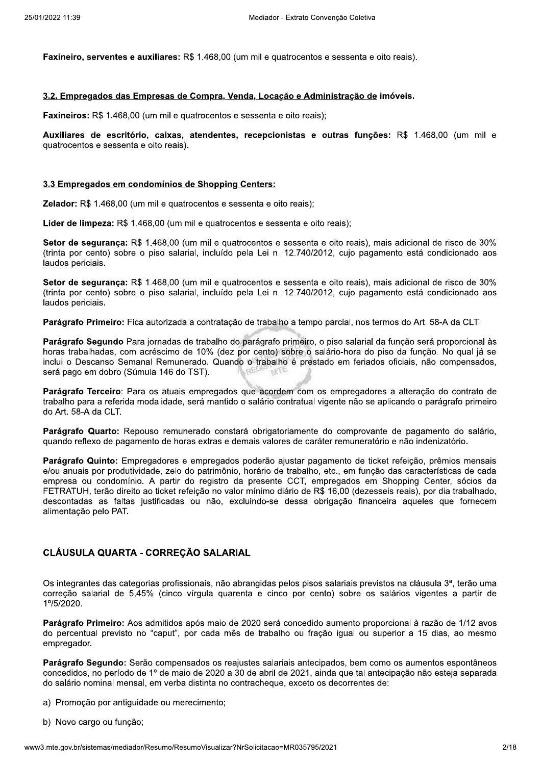$\texttt{Faxinelro, services e auxriiares: }\kappa\texttt{a 1.468,00}$  (um mil e quatrocentos e sessenta e oito reals).

#### 3.2. Empregados das Empresas de Compra, Venda, Locação e Administração de imóveis.

**Faxineiros:** R\$ 1.468,00 (um mil e quatrocentos e sessenta e oito reals);

Mediador - Extrato Convenção Coletiva<br>68,00 (um mil e quatrocentos e sessenta e oi<br>pra, Venda, Locação e Administração de in<br>entos e sessenta e oito reais);<br>dentes, recepcionistas e outras funçõe es e auxiliares: R\$ 1.468,00 (um mil e quatre<br>das Empresas de Compra, Venda, Locação<br>68,00 (um mil e quatrocentos e sessenta e oi<br>critório, caixas, atendentes, recepcionis<br>senta e oito reais).<br>m condomínios de Shopping Cen Auxiliares de escritório, caixas, atendentes, recepcionistas e outras funções: R\$ 1.468,00 (um mil e 3.2. Empregados das Empresas de Compra, Venda, Locação e Administração de imóveis.<br>Faxineiros: R\$ 1.468,00 (um mil e quatrocentos e sessenta e oito reais);<br>Auxiliares de escritório, caixas, atendentes, recepcionistas e out ntos e sessenta e oito reais).

#### 3.3 Empregados em condomínios de Shopping Centers:

 $\lambda$ elador: R $\upphi$  1.468,00 (um mil e quatrocentos e sessenta e oito reals);

Lider de limpeza: R\$ 1.468,00 (um mil e quatrocentos e sessenta e oito reais);

escritório, caixas, atendentes, recepcio<br>
sessenta e oito reais).<br>
s em condomínios de Shopping Centers:<br>
68,00 (um mil e quatrocentos e sessenta e oi<br>
a: R\$ 1.468,00 (um mil e quatrocentos e sess<br>
ança: R\$ 1.468,00 (um mi e oito reais).<br>
domínios de Shopping Centers:<br>
1 mil e quatrocentos e sessenta e oito reais);<br>
68,00 (um mil e quatrocentos e sessenta e oito<br>
1.468,00 (um mil e quatrocentos e sessenta<br>
1.468,00 (um mil e quatrocentos e s **Setor de segurança:**  $R$ \$ 1.468,00 (um mil e quatrocentos e sessenta e oito rea nínios de Shopping Centers:<br>
e quatrocentos e sessenta e oito reais);<br>
0 (um mil e quatrocentos e sessenta e oito re<br>
58,00 (um mil e quatrocentos e sessenta e o<br>
o salarial, incluído pela Lei n. 12.740/2012,<br>
58,00 (um mi co reais);<br>
e oito reais), mais adicional de risco de 30%<br>
012, cujo pagamento está condicionado aos<br>
e oito reais), mais adicional de risco de 30%<br>
012, cujo pagamento está condicionado aos<br>
o parcial, nos termos do Art. ), mais adicional de risco de 30%<br>agamento está condicionado aos<br>), mais adicional de risco de 30%<br>agamento está condicionado aos<br>s termos do Art. 58-A da CLT. 3.3 Empregados em condomínios de Shopping Centers:<br>
Zelador: R\$ 1.468,00 (um mil e quatrocentos e sessenta e oito reais);<br>
Líder de limpeza: R\$ 1.468,00 (um mil e quatrocentos e sessenta e oito reais);<br>
Setor de segurança: nto) sobre o piso salarial, incluido pela Lei n. 12.740/2012, cujo pagamento es n condomínios de Shopping Centers:<br>
10 (um mil e quatrocentos e sessenta e oito re<br>
3 1.468,00 (um mil e quatrocentos e sessenta<br>
1. R\$ 1.468,00 (um mil e quatrocentos e ses<br>
bbre o piso salarial, incluído pela Lei n. 12.<br> nta e oito reais);<br>
s e sessenta e oito reais);<br>
entos e sessenta e oito reais), mais adiciona<br>
a Lei n. 12.740/2012, cujo pagamento está<br>
entos e sessenta e oito reais), mais adiciona<br>
a Lei n. 12.740/2012, cujo pagamento 3.3 Empregados em condomínios de Shopping Centers:<br>Zelador: R\$ 1.468,00 (um mil e quatrocentos e sessenta e oito reais);<br>Líder de limpeza: R\$ 1.468,00 (um mil e quatrocentos e sessenta e oito reais);<br>Setor de segurança: R\$ 3.3 Empregados em condomínios de Shopparte de Shopparte de Shopparte de limpeza: R\$ 1.468,00 (um mil e quatrocentos de Setor de segurança: R\$ 1.468,00 (um mil e quatrocento de segurança: R\$ 1.468,00 (um mil e quatrocento

ntos e sessenta e oito rea hto) sobre o piso salarial, incluído pela Lei n. 12.740/2012, cujo pagamento es

trabalho a tempo parcial, hos termos do Art. 58-A da CLT.

e quatrocentos e sessenta e oito reais);<br>0 (um mil e quatrocentos e sessenta e oito re<br>68,00 (um mil e quatrocentos e sessenta e o<br>o salarial, incluído pela Lei n. 12.740/2012,<br>68,00 (um mil e quatrocentos e sessenta e o<br>o to reais);<br>
e oito reais), mais adicional de risco de 30%<br>
012, cujo pagamento está condicionado aos<br>
e oito reais), mais adicional de risco de 30%<br>
012, cujo pagamento está condicionado aos<br>
o parcial, nos termos do Art. ), mais adicional de risco de 30%<br>agamento está condicionado aos<br>), mais adicional de risco de 30%<br>agamento está condicionado aos<br>s termos do Art. 58-A da CLT.<br>al da função será proporcional às<br>do piso da função. No qual j Líder de limpeza: R\$ 1.468,00 (um mil e quatrocentos e sessenta e oito reais);<br>
Setor de segurança: R\$ 1.468,00 (um mil e quatrocentos e sessenta e oito reais), mais adicional de risco de 30%<br>
(trinta por cento) sobre o pi 1.468,00 (um mil e quatrocentos e sessenta<br>
1.8 1.468,00 (um mil e quatrocentos e ses<br>
bbre o piso salarial, incluído pela Lei n. 12.<br>
1. R\$ 1.468,00 (um mil e quatrocentos e ses<br>
bbre o piso salarial, incluído pela Lei n. s e sessenta e oito reais);<br>
entos e sessenta e oito reais), mais adiciona<br>
a Lei n. 12.740/2012, cujo pagamento está<br>
entos e sessenta e oito reais), mais adiciona<br>
a Lei n. 12.740/2012, cujo pagamento está<br>
a Lei n. 12.7 Líder de limpeza: R\$ 1.468,00 (um mil e quatrocentos e sessenta e oito reais);<br>
Setor de segurança: R\$ 1.468,00 (um mil e quatrocentos e sessenta e oito reais), mais adicional de risco de 30%<br>
(trinta por cento) sobre o pi Líder de limpeza: R\$ 1.468,00 (um mil e quatrocentos e sess<br>
Setor de segurança: R\$ 1.468,00 (um mil e quatrocentos e setor<br>
(trinta por cento) sobre o piso salarial, incluído pela Lei n.<br>
laudos periciais.<br>
Setor de segur rentos e sessenta e oito reais), mais adiciona<br>
a Lei n. 12.740/2012, cujo pagamento está<br>
centos e sessenta e oito reais), mais adiciona<br>
a Lei n. 12.740/2012, cujo pagamento está<br>
e trabalho a tempo parcial, nos termos d **Paragrafo Segundo** Para Jornadas de trabalho do paragrafo primeiro, o piso salarial da função ser setor de segurança: R\$ 1.468,00 (um mil e quatrocentos e sessenta e oito reais), mais adicional de risco de 30%<br>
(trinta por cento) sobre o piso salarial, incluído pela Lei n. 12.740/2012, cujo pagamento está condicionado 10% (dez por cento) sobre o salario-nora do piso da função. No qual ja se 4,00 (um mil e quatrocentos e sessenta e oito salarial, incluído pela Lei n. 12.740/2012, o<br>izada a contratação de trabalho a tempo parc<br>idas de trabalho do parágrafo primeiro, o pisc<br>imo de 10% (dez por cento) sobre o sal Setor de segurança: R\$ 1.468,00 (um mil e quatrocentos e sessenta e oito reais), mais adicional de risco de 30%<br>
(trinta por cento) sobre o piso salarial, incluido pela Lei n. 12.740/2012, cujo pagamento está condicionado Setor de segurança: R\$ 1.468,00<br>(trinta por cento) sobre o piso sa<br>laudos periciais.<br>**Parágrafo Primeiro:** Fica autoriza<br>**Parágrafo Segundo** Para jornadas<br>horas trabalhadas, com acréscimo<br>inclui o Descanso Semanal Remu<br>ser manal Remunerado. Quando o trabalho e prestado em ferlados oficiais, nao compensados, ta e oito reais), mais adicional de risco de 30%<br>//2012, cujo pagamento está condicionado aos<br>npo parcial, nos termos do Art. 58-A da CLT.<br>o, o piso salarial da função será proporcional às<br>salário-hora do piso da função. N sera pago em dobro (Sumula 146 do TST). da a contratação de trabalho a tempo parcial<br>
s de trabalho do parágrafo primeiro, o piso sa<br>
b de 10% (dez por cento) sobre o salário-ho<br>
unerado. Quando o trabalho é prestado em<br>
do TST).<br>
ais empregados que acordem com ntratação de trabalho a tempo parcial, nos terrestando do parágrafo primeiro, o piso salarial da (dez por cento) sobre o salário-hora do piestado em feriados que acordem com os empregadores egados que acordem com os empreg s termos do Art. 58-A da CLT.<br>
ial da função será proporcional às<br>
do piso da função. No qual já se<br>
iados oficiais, não compensados,<br>
dores a alteração do contrato de<br>
se aplicando o parágrafo primeiro<br>
ovante de pagament a contratação de trabalho a tempo parcial, no<br>e trabalho do parágrafo primeiro, o piso salar<br>e 10% (dez por cento) sobre o salário-hora<br>rado. Quando o trabalho é prestado em fer<br>FST).<br>empregados que acordem com os emprega<br> empo parcial, nos termos do Art. 58-A da CLT.<br>
iro, o piso salarial da função será proporcional à<br>
o salário-hora do piso da função. No qual já s<br>
irrestado em feriados oficiais, não compensado:<br>
mom os empregadores a alte

**Paragrafo Terceiro**: Para os atuais empregados que acordem com os empregadores a alter trabalno para a referida modalidade, sera mantido o salario contratual vigente nao se aplicando o paragrafo primeiro do Art. 58-A da CLT.

**Paragrafo Quarto:** Repouso remunerado constara obrigatoriamente do comprovante de pagamento do salario, quando reflexo de pagamento de noras extras e demais valores de carater remuneratorio e nao indenizatorio.

om acréscimo de 10% (dez por cento) sobre c<br>
emanal Remunerado. Quando o trabalho é pre<br>
Súmula 146 do TST).<br>
Para os atuais empregados que acordem con<br>
da modalidade, será mantido o salário contratua<br>
Repouso remunerado c cento) sobre o salário-hora do piso da fungo trabalho é prestado em feriados oficiais, r<br>le acordem com os empregadores a alteraça salário contratual vigente não se aplicando o<br>obrigatoriamente do comprovante de paga<br>ais v Nuando o trabalho é prestado em feriados o<br>
ados que acordem com os empregadores a<br>
antido o salário contratual vigente não se aplic<br>
constará obrigatoriamente do comprovante<br>
se demais valores de caráter remuneratório<br>
ga **Paragraro Quinto:** Empregadores e empregados poderao ajustar pagamento de ticket refeição, premios mensais rm com os empregadores a alteração do contratual vigente não se aplicando o parágrafo<br>
riamente do comprovante de pagamento de<br>
s de caráter remuneratório e não indenizatóri<br>
ustar pagamento de ticket refeição, prêmios<br>
tr e/ou anuais por produtividade, zelo do patrimonio, norario de trabalho, eti que acordem com os empregadores a altera<br>
salário contratual vigente não se aplicando e<br>
á obrigatoriamente do comprovante de pag<br>
mais valores de caráter remuneratório e não i<br>
poderão ajustar pagamento de ticket refeiçã<br> os empregadores a alteração do contrato de<br>
vigente não se aplicando o parágrafo primeiro<br>
e do comprovante de pagamento do salário,<br>
áter remuneratório e não indenizatório.<br>
gamento de ticket refeição, prêmios mensais<br>
9, adores a alteração do contrato de<br>
b se aplicando o parágrafo primeiro<br>
covante de pagamento do salário,<br>
eratório e não indenizatório.<br>
e ticket refeição, prêmios mensais<br>
função das características de cada<br>
em Shopping C **Parágrafo Terceiro**: Para os atuais empregados que acordem com os empregadores a alteração do contrato de trabalho para a referida modalidade, será mantido o salário contratual vigente não se aplicando o parágrafo primeir mpresa ou condominio. A partir do registro da presente CCT, empregados em Shopping Center, trabalho para a referida modalidade, será n<br>do Art. 58-A da CLT.<br>**Parágrafo Quarto:** Repouso remunerado<br>quando reflexo de pagamento de horas ext<br>**Parágrafo Quinto:** Empregadores e empr<br>e/ou anuais por produtividade, zelo d trabalho para a referida modalidade, será mantido o salário contratual vigente não se aplicando o parágrafo primeiro<br>do Art. 58-A da CLT.<br>**Parágrafo Quarto:** Repouso remunerado constará obrigatoriamente do comprovante de p rao direito ao ticket refeição no valor minimo diario de R\$ 16,00 (dezesseis reais), por dia trabalhado, 58-A da CLT.<br> **afo Quarto:** Repouso remunerado constará<br>
reflexo de pagamento de horas extras e dem<br> **afo Quinto:** Empregadores e empregados p<br>
uais por produtividade, zelo do patrimônio, h<br>
a ou condomínio. A partir do re descontadas as faitas justificadas ou não, excluindo-se dessa obrigação financeira aqueles que fornecem **Parágrafo Quarto:** Repouso remunerado constará<br>
quando reflexo de pagamento de horas extras e dem<br> **Parágrafo Quinto:** Empregadores e empregados p<br>
e/ou anuais por produtividade, zelo do patrimônio, h<br>
empresa ou condomín so remunerado constará obrigatoriamente c<br>to de horas extras e demais valores de caráte<br>adores e empregados poderão ajustar paga<br>de, zelo do patrimônio, horário de trabalho, e<br>A partir do registro da presente CCT, emp<br>tick amente do comprovante de pagamento do<br>
de caráter remuneratório e não indenizatório<br>
star pagamento de ticket refeição, prêmios i<br>
rabalho, etc., em função das características<br>
CCT, empregados em Shopping Center, só<br>
rio d de pagamento do salário,<br>e não indenizatório.<br>refeição, prêmios mensais<br>as características de cada<br>opping Center, sócios da<br>reais), por dia trabalhado,<br>a aqueles que fornecem<br>sa aqueles que fornecem alimentação pelo PAT.

#### $\overline{4}$ CLAUSULA QUARTA - CORREÇAO SALARIAL

 $\circ$ s integrantes das categorias profissionais, nao abrangidas pelos pisos salariais prev prigação financeira aqueles que fornecem<br>
salariais previstos na cláusula 3ª, terão uma<br>
tito) sobre os salários vigentes a partir de<br>
paumento proporcional à razão de 1/12 avos<br>
tão igual ou superior a 15 dias, ao mesmo<br> ção salarial de 5,45% (cinco virgula quarenta e cinco por cento) sobre os salarios vigentes a partir de ição pelo PAT.<br> **SULA QUARTA - CORREÇÃO SALARIAL**<br>
prantes das categorias profissionais, não abrang<br>
po salarial de 5,45% (cinco vírgula quarenta e<br>
20.<br> **Info Primeiro:** Aos admitidos após maio de 2020<br>
entual previsto no  $\widetilde{G}$ ÃO SALARIAL<br>
ssionais, não abrangidas pelos pisos salariais previstos<br>
o vírgula quarenta e cinco por cento) sobre os salár<br>
s após maio de 2020 será concedido aumento proporcio<br>
por cada mês de trabalho ou fraçã  $1^{\circ}/5/2020.$ **D SALARIAL**<br>
mais, não abrangidas pelos pisos salariais previst<br>
gula quarenta e cinco por cento) sobre os s<br>
ós maio de 2020 será concedido aumento propo<br>
cada mês de trabalho ou fração igual ou sur<br>
dos os reajustes sal pisos salariais previstos na cláusula 3ª, terão<br>pr cento) sobre os salários vigentes a par<br>edido aumento proporcional à razão de 1/12<br>u fração igual ou superior a 15 dias, ao m<br>antecipados, bem como os aumentos espontá<br>21, **JSULA QUARTA - CORREÇÃO SALARIAL**<br>
egrantes das categorias profissionais, não abrangidas pe<br>
gão salarial de 5,45% (cinco vírgula quarenta e cinco<br>
020.<br> **grafo Primeiro:** Aos admitidos após maio de 2020 será c<br>
rrcentual egrantes das categorias profissionais, não ab<br>
ão salarial de 5,45% (cinco vírgula quarer<br>
120.<br> **rafo Primeiro:** Aos admitidos após maio de :<br>
rcentual previsto no "caput", por cada mês<br>
gador.<br> **rafo Segundo:** Serão comp o abrangidas pelos pisos salariais previstos n<br>
arenta e cinco por cento) sobre os salária<br>
de 2020 será concedido aumento proporcion<br>
mês de trabalho ou fração igual ou superio<br>
eajustes salariais antecipados, bem como os belos pisos salariais previstos na cláusula 3ª,<br>co por cento) sobre os salários vigentes a<br>concedido aumento proporcional à razão de<br>ho ou fração igual ou superior a 15 dias, a<br>iais antecipados, bem como os aumentos es<br>le

descontadas as faltas justificadas ou<br>
alimentação pelo PAT.<br> **CLÁUSULA QUARTA - CORREÇÃO S**<br>
Os integrantes das categorias profissionai<br>
correção salarial de 5,45% (cinco vírgu<br>
1<sup>0</sup>/5/2020.<br> **Parágrafo Primeiro:** Aos adm cláusula QUARTA - CORREÇÃO SALARIAL<br>
Os integrantes das categorias profissionais, não abrangidas pelos pisos salariais previstos na cláusula 3ª, terão uma<br>
correção salarial de 5,45% (cinco vírgula quarenta e cinco por cen **Paragrafo Primeiro:** Aos admitidos apos maio de 2020 sera concedido aumento proporcional a razão de 1/12 avos do percentual previsto no "caput", por cada mes de trabalho ou fração igual ou superior a 15 dias, ao mesmo empregador. or cento) sobre os salários vigentes a pa<br>
cedido aumento proporcional à razão de 1/1:<br>
pu fração igual ou superior a 15 dias, ao n<br>
antecipados, bem como os aumentos espont<br>
puerto os decorrentes de:<br>
ceto os decorrentes admitidos após maio de 2020 será concedido aum<br>
o "caput", por cada mês de trabalho ou fração ig<br>
ão compensados os reajustes salariais antecipados<br>
e 1º de maio de 2020 a 30 de abril de 2021, ainda c<br>
I, em verba distinta maio de 2020 será concedido aumento propo<br>da mês de trabalho ou fração igual ou sup<br>os reajustes salariais antecipados, bem com<br>020 a 30 de abril de 2021, ainda que tal ante<br>ta no contracheque, exceto os decorrentes de<br>ent 20 será concedido aumento proporcional à rae trabalho ou fração igual ou superior a 15<br>es salariais antecipados, bem como os aume<br>le abril de 2021, ainda que tal antecipação nã<br>acheque, exceto os decorrentes de:<br>plicitacao eiro: Aos admitidos após maio de 2020 será<br>previsto no "caput", por cada mês de trabal<br>**undo:** Serão compensados os reajustes sala<br>período de 1º de maio de 2020 a 30 de abril d<br>nal mensal, em verba distinta no contracheque

a distinta no contracheque, exceto os ded<br>precimento;<br>sumoVisualizar?NrSolicitacao=MR035795/2021<br>} CLAUSULA QUARTA - CO<br>
Os integrantes das categorias<br>
correção salarial de 5,45%<br>
1<sup>9</sup>/5/2020.<br> **Parágrafo Primeiro:** Aos adr<br>
do percentual previsto no "c<br>
empregador.<br> **Parágrafo Segundo:** Serão do concedidos, no período **Paragrafo Segundo:** Serao compensados os reajustes salariais antecipados, bem como os aumentos espontaneo correção salarial de 5,45% (cinco vírgula quarenta e cinco por cento) sobre os salários vigentes a partir de 1%5/2020.<br> **Parágrafo Primeiro:** Aos admitidos após maio de 2020 será concedido aumento proporcional à razão de 1 didos, no periodo de 1º de maio de 2020 a 30 de abril de 2021, ainda que tal antecipação não esteja separada do salario nominal mensal, em verba distinta no contracneque, exceto os decorrentes de: empregador.<br> **Parágrafo Segundo:** Serão compensados os reconcedidos, no período de 1º de maio de 2020 a do salário nominal mensal, em verba distinta no el a) Promoção por antiguidade ou merecimento;<br>
b) Novo cargo ou funçã

- a) Promoçao por antiguidade ou merec
-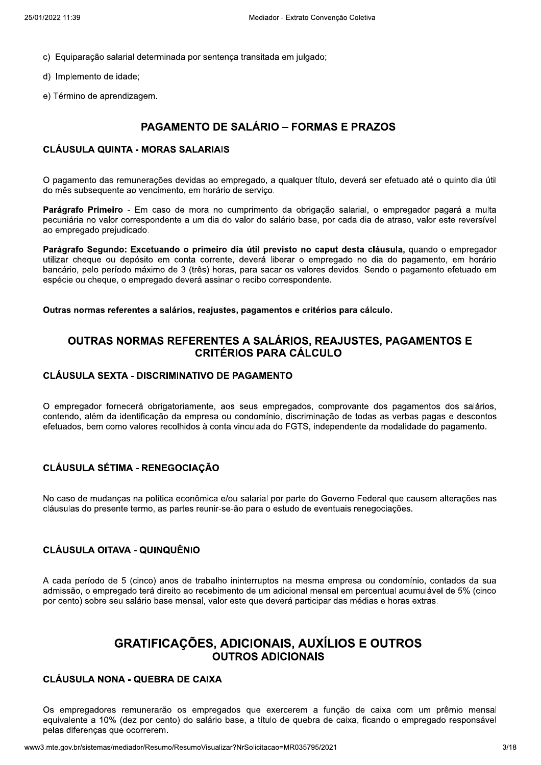- c) Equiparação salarial determinada por sentença transitada em julgado;
- d) Implemento de idade:
- e) Término de aprendizagem.

# **PAGAMENTO DE SALÁRIO – FORMAS E PRAZOS**

#### **CLÁUSULA QUINTA - MORAS SALARIAIS**

O pagamento das remunerações devidas ao empregado, a qualquer título, deverá ser efetuado até o quinto dia útil do mês subsequente ao vencimento, em horário de serviço.

Parágrafo Primeiro - Em caso de mora no cumprimento da obrigação salarial, o empregador pagará a multa pecuniária no valor correspondente a um dia do valor do salário base, por cada dia de atraso, valor este reversível ao empregado prejudicado.

Parágrafo Segundo: Excetuando o primeiro dia útil previsto no caput desta cláusula, quando o empregador utilizar cheque ou depósito em conta corrente, deverá liberar o empregado no dia do pagamento, em horário bancário, pelo período máximo de 3 (três) horas, para sacar os valores devidos. Sendo o pagamento efetuado em espécie ou cheque, o empregado deverá assinar o recibo correspondente.

#### Outras normas referentes a salários, reajustes, pagamentos e critérios para cálculo.

## OUTRAS NORMAS REFERENTES A SALÁRIOS, REAJUSTES, PAGAMENTOS E **CRITÉRIOS PARA CÁLCULO**

#### **CLÁUSULA SEXTA - DISCRIMINATIVO DE PAGAMENTO**

O empregador fornecerá obrigatoriamente, aos seus empregados, comprovante dos pagamentos dos salários, contendo, além da identificação da empresa ou condomínio, discriminação de todas as verbas pagas e descontos efetuados, bem como valores recolhidos à conta vinculada do FGTS, independente da modalidade do pagamento.

#### **CLÁUSULA SÉTIMA - RENEGOCIAÇÃO**

No caso de mudanças na política econômica e/ou salarial por parte do Governo Federal que causem alterações nas cláusulas do presente termo, as partes reunir-se-ão para o estudo de eventuais renegociações.

#### **CLÁUSULA OITAVA - QUINQUÊNIO**

A cada período de 5 (cinco) anos de trabalho ininterruptos na mesma empresa ou condomínio, contados da sua admissão, o empregado terá direito ao recebimento de um adicional mensal em percentual acumulável de 5% (cinco por cento) sobre seu salário base mensal, valor este que deverá participar das médias e horas extras.

# **GRATIFICAÇÕES, ADICIONAIS, AUXÍLIOS E OUTROS OUTROS ADICIONAIS**

#### **CLÁUSULA NONA - QUEBRA DE CAIXA**

Os empregadores remunerarão os empregados que exercerem a função de caixa com um prêmio mensal equivalente a 10% (dez por cento) do salário base, a título de quebra de caixa, ficando o empregado responsável pelas diferenças que ocorrerem.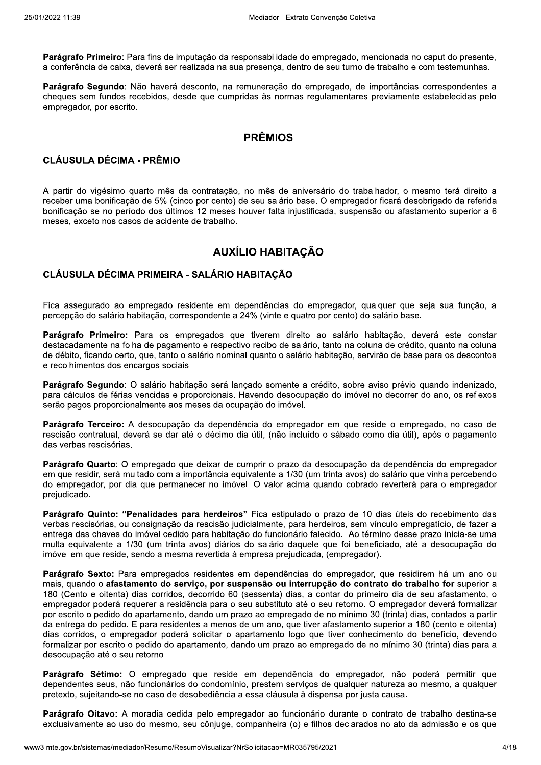Parágrafo Primeiro: Para fins de imputação da responsabilidade do empregado, mencionada no caput do presente. a conferência de caixa, deverá ser realizada na sua presenca, dentro de seu turno de trabalho e com testemunhas,

Parágrafo Segundo: Não haverá desconto, na remuneração do empregado, de importâncias correspondentes a cheques sem fundos recebidos, desde que cumpridas às normas requlamentares previamente estabelecidas pelo empregador, por escrito.

# **PRÊMIOS**

#### **CLÁUSULA DÉCIMA - PRÊMIO**

A partir do vigésimo quarto mês da contratação, no mês de aniversário do trabalhador, o mesmo terá direito a receber uma bonificação de 5% (cinco por cento) de seu salário base. O empregador ficará desobrigado da referida bonificação se no período dos últimos 12 meses houver falta injustificada, suspensão ou afastamento superior a 6 meses, exceto nos casos de acidente de trabalho.

# **AUXÍLIO HABITAÇÃO**

## CLÁUSULA DÉCIMA PRIMEIRA - SALÁRIO HABITAÇÃO

Fica assegurado ao empregado residente em dependências do empregador, qualquer que seja sua função, a percepção do salário habitação, correspondente a 24% (vinte e quatro por cento) do salário base.

Parágrafo Primeiro: Para os empregados que tiverem direito ao salário habitação, deverá este constar destacadamente na folha de pagamento e respectivo recibo de salário, tanto na coluna de crédito, quanto na coluna de débito, ficando certo, que, tanto o salário nominal quanto o salário habitação, servirão de base para os descontos e recolhimentos dos encargos sociais.

Parágrafo Segundo: O salário habitação será lançado somente a crédito, sobre aviso prévio quando indenizado, para cálculos de férias vencidas e proporcionais. Havendo desocupação do imóvel no decorrer do ano, os reflexos serão pagos proporcionalmente aos meses da ocupação do imóvel.

Parágrafo Terceiro: A desocupação da dependência do empregador em que reside o empregado, no caso de rescisão contratual, deverá se dar até o décimo dia útil, (não incluído o sábado como dia útil), após o pagamento das verbas rescisórias.

Parágrafo Quarto: O empregado que deixar de cumprir o prazo da desocupação da dependência do empregador em que residir, será multado com a importância equivalente a 1/30 (um trinta avos) do salário que vinha percebendo do empregador, por dia que permanecer no imóvel. O valor acima guando cobrado reverterá para o empregador prejudicado.

Parágrafo Quinto: "Penalidades para herdeiros" Fica estipulado o prazo de 10 dias úteis do recebimento das verbas rescisórias, ou consignação da rescisão judicialmente, para herdeiros, sem vínculo empregatício, de fazer a entrega das chaves do imóvel cedido para habitação do funcionário falecido. Ao término desse prazo inicia-se uma multa equivalente a 1/30 (um trinta avos) diários do salário daquele que foi beneficiado, até a desocupação do imóvel em que reside, sendo a mesma revertida à empresa prejudicada, (empregador).

Parágrafo Sexto: Para empregados residentes em dependências do empregador, que residirem há um ano ou mais, quando o afastamento do servico, por suspensão ou interrupção do contrato do trabalho for superior a 180 (Cento e oitenta) dias corridos, decorrido 60 (sessenta) dias, a contar do primeiro dia de seu afastamento, o empregador poderá reguerer a residência para o seu substituto até o seu retorno. O empregador deverá formalizar por escrito o pedido do apartamento, dando um prazo ao empregado de no mínimo 30 (trinta) dias, contados a partir da entrega do pedido. E para residentes a menos de um ano, que tiver afastamento superior a 180 (cento e oitenta) dias corridos, o empregador poderá solicitar o apartamento logo que tiver conhecimento do benefício, devendo formalizar por escrito o pedido do apartamento, dando um prazo ao empregado de no mínimo 30 (trinta) dias para a desocupação até o seu retorno.

Parágrafo Sétimo: O empregado que reside em dependência do empregador, não poderá permitir que dependentes seus, não funcionários do condomínio, prestem servicos de qualquer natureza ao mesmo, a qualquer pretexto, sujeitando-se no caso de desobediência a essa cláusula à dispensa por justa causa.

Parágrafo Oitavo: A moradia cedida pelo empregador ao funcionário durante o contrato de trabalho destina-se exclusivamente ao uso do mesmo, seu cônjuge, companheira (o) e filhos declarados no ato da admissão e os que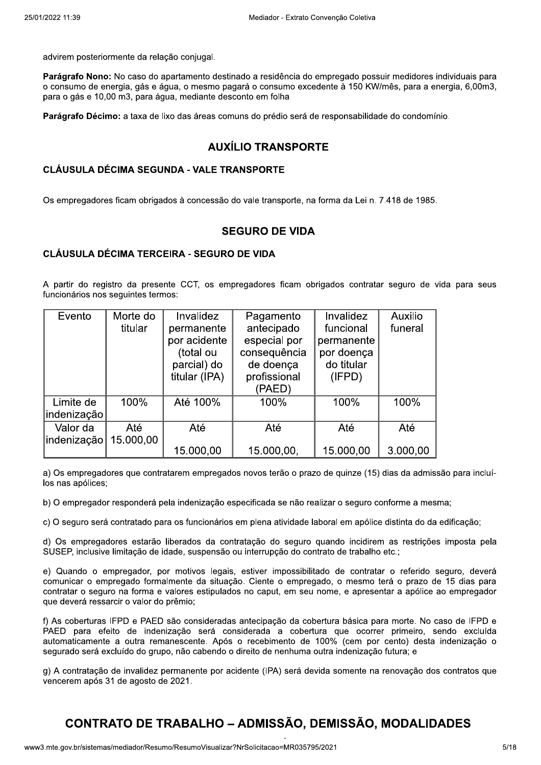advirem posteriormente da relação conjugal.

Parágrafo Nono: No caso do apartamento destinado a residência do empregado possuir medidores individuais para o consumo de energia, gás e água, o mesmo pagará o consumo excedente à 150 KW/mês, para a energia, 6,00m3, para o gás e 10,00 m3, para água, mediante desconto em folha

Parágrafo Décimo: a taxa de lixo das áreas comuns do prédio será de responsabilidade do condomínio.

## **AUXÍLIO TRANSPORTE**

#### **CLÁUSULA DÉCIMA SEGUNDA - VALE TRANSPORTE**

Os empregadores ficam obrigados à concessão do vale transporte, na forma da Lei n. 7.418 de 1985.

#### **SEGURO DE VIDA**

#### **CLÁUSULA DÉCIMA TERCEIRA - SEGURO DE VIDA**

A partir do registro da presente CCT, os empregadores ficam obrigados contratar seguro de vida para seus funcionários nos seguintes termos:

| Evento      | Morte do  | Invalidez     | Pagamento    | Invalidez  | Auxilio  |
|-------------|-----------|---------------|--------------|------------|----------|
|             | titular   | permanente    | antecipado   | funcional  | funeral  |
|             |           | por acidente  | especial por | permanente |          |
|             |           | (total ou     | consequência | por doença |          |
|             |           | parcial) do   | de doença    | do titular |          |
|             |           | titular (IPA) | profissional | (IFPD)     |          |
|             |           |               | (PAED)       |            |          |
| Limite de   | 100%      | Até 100%      | 100%         | 100%       | 100%     |
| indenização |           |               |              |            |          |
| Valor da    | Até       | Até           | Até          | Até        | Até      |
| indenização | 15.000,00 |               |              |            |          |
|             |           | 15.000,00     | 15.000,00,   | 15.000,00  | 3.000,00 |

a) Os empregadores que contratarem empregados novos terão o prazo de quinze (15) dias da admissão para incluílos nas apólices:

b) O empregador responderá pela indenização especificada se não realizar o seguro conforme a mesma;

c) O seguro será contratado para os funcionários em plena atividade laboral em apólice distinta do da edificação;

d) Os empregadores estarão liberados da contratação do seguro quando incidirem as restrições imposta pela SUSEP, inclusive limitação de idade, suspensão ou interrupção do contrato de trabalho etc.;

e) Quando o empregador, por motivos legais, estiver impossibilitado de contratar o referido seguro, deverá comunicar o empregado formalmente da situação. Ciente o empregado, o mesmo terá o prazo de 15 dias para contratar o seguro na forma e valores estipulados no caput, em seu nome, e apresentar a apólice ao empregador que deverá ressarcir o valor do prêmio;

f) As coberturas IFPD e PAED são consideradas antecipação da cobertura básica para morte. No caso de IFPD e PAED para efeito de indenização será considerada a cobertura que ocorrer primeiro, sendo excluída automaticamente a outra remanescente. Após o recebimento de 100% (cem por cento) desta indenização o segurado será excluído do grupo, não cabendo o direito de nenhuma outra indenização futura; e

g) A contratação de invalidez permanente por acidente (IPA) será devida somente na renovação dos contratos que vencerem após 31 de agosto de 2021.

# **CONTRATO DE TRABALHO - ADMISSÃO, DEMISSÃO, MODALIDADES**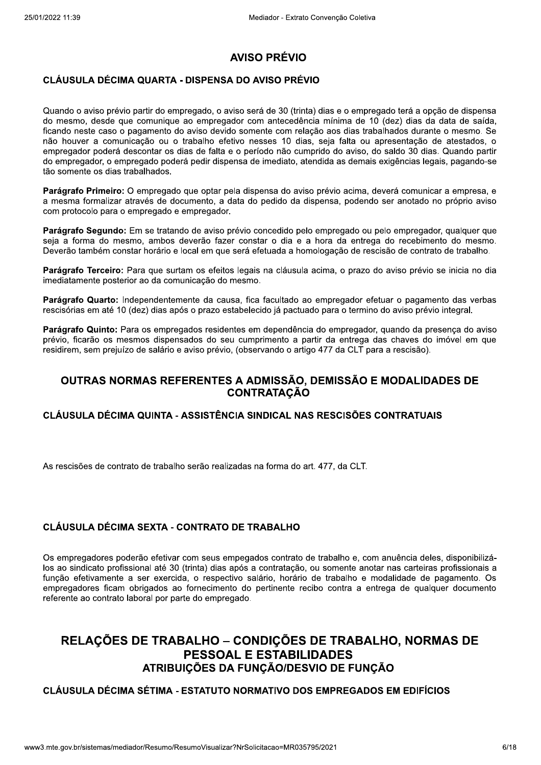# **AVISO PRÉVIO**

## **CLÁUSULA DÉCIMA QUARTA - DISPENSA DO AVISO PRÉVIO**

Quando o aviso prévio partir do empregado, o aviso será de 30 (trinta) dias e o empregado terá a opção de dispensa do mesmo, desde que comunique ao empregador com antecedência mínima de 10 (dez) dias da data de saída, ficando neste caso o pagamento do aviso devido somente com relação aos dias trabalhados durante o mesmo. Se não houver a comunicação ou o trabalho efetivo nesses 10 dias, seja falta ou apresentação de atestados, o empregador poderá descontar os dias de falta e o período não cumprido do aviso, do saldo 30 dias. Quando partir do empregador, o empregado poderá pedir dispensa de imediato, atendida as demais exigências legais, pagando-se tão somente os dias trabalhados.

Parágrafo Primeiro: O empregado que optar pela dispensa do aviso prévio acima, deverá comunicar a empresa, e a mesma formalizar através de documento, a data do pedido da dispensa, podendo ser anotado no próprio aviso com protocolo para o empregado e empregador.

Parágrafo Segundo: Em se tratando de aviso prévio concedido pelo empregado ou pelo empregador, qualquer que seja a forma do mesmo, ambos deverão fazer constar o dia e a hora da entrega do recebimento do mesmo. Deverão também constar horário e local em que será efetuada a homologação de rescisão de contrato de trabalho.

Parágrafo Terceiro: Para que surtam os efeitos legais na cláusula acima, o prazo do aviso prévio se inicia no dia imediatamente posterior ao da comunicação do mesmo.

Parágrafo Quarto: Independentemente da causa, fica facultado ao empregador efetuar o pagamento das verbas rescisórias em até 10 (dez) dias após o prazo estabelecido já pactuado para o termino do aviso prévio integral.

Parágrafo Quinto: Para os empregados residentes em dependência do empregador, quando da presenca do aviso prévio, ficarão os mesmos dispensados do seu cumprimento a partir da entrega das chaves do imóvel em que residirem, sem prejuízo de salário e aviso prévio, (observando o artigo 477 da CLT para a rescisão).

## OUTRAS NORMAS REFERENTES A ADMISSÃO, DEMISSÃO E MODALIDADES DE **CONTRATAÇÃO**

#### CLÁUSULA DÉCIMA QUINTA - ASSISTÊNCIA SINDICAL NAS RESCISÕES CONTRATUAIS

As rescisões de contrato de trabalho serão realizadas na forma do art. 477, da CLT.

## **CLÁUSULA DÉCIMA SEXTA - CONTRATO DE TRABALHO**

Os empregadores poderão efetivar com seus empegados contrato de trabalho e, com anuência deles, disponibilizálos ao sindicato profissional até 30 (trinta) dias após a contratação, ou somente anotar nas carteiras profissionais a função efetivamente a ser exercida, o respectivo salário, horário de trabalho e modalidade de pagamento. Os empregadores ficam obrigados ao fornecimento do pertinente recibo contra a entrega de qualquer documento referente ao contrato laboral por parte do empregado.

# RELAÇÕES DE TRABALHO - CONDIÇÕES DE TRABALHO, NORMAS DE **PESSOAL E ESTABILIDADES ATRIBUICÕES DA FUNÇÃO/DESVIO DE FUNÇÃO**

#### CLÁUSULA DÉCIMA SÉTIMA - ESTATUTO NORMATIVO DOS EMPREGADOS EM EDIFÍCIOS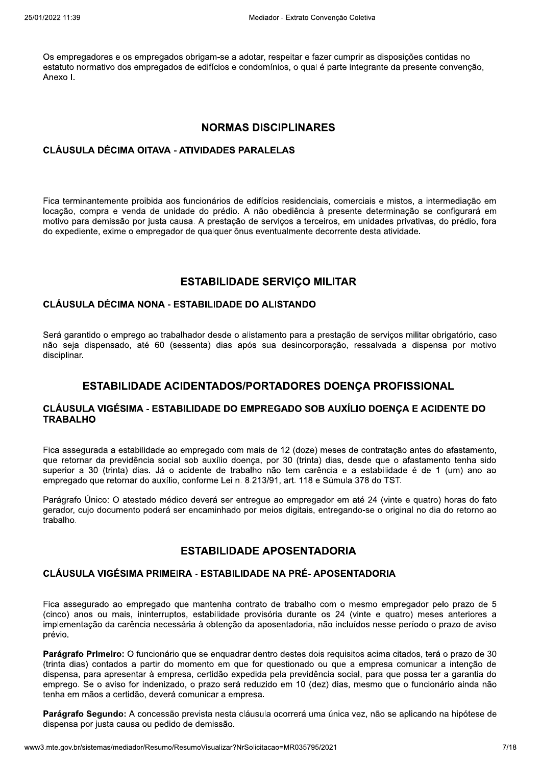Os empregadores e os empregados obrigam-se a adotar, respeitar e fazer cumprir as disposições contidas no estatuto normativo dos empregados de edifícios e condomínios, o qual é parte integrante da presente convenção, Anexo L

#### **NORMAS DISCIPLINARES**

#### **CLÁUSULA DÉCIMA OITAVA - ATIVIDADES PARALELAS**

Fica terminantemente proibida aos funcionários de edifícios residenciais, comerciais e mistos, a intermediação em locação, compra e venda de unidade do prédio. A não obediência à presente determinação se configurará em motivo para demissão por justa causa. A prestação de serviços a terceiros, em unidades privativas, do prédio, fora do expediente, exime o empregador de qualquer ônus eventualmente decorrente desta atividade.

#### **ESTABILIDADE SERVICO MILITAR**

#### CLÁUSULA DÉCIMA NONA - ESTABILIDADE DO ALISTANDO

Será garantido o emprego ao trabalhador desde o alistamento para a prestação de servicos militar obrigatório, caso não seja dispensado, até 60 (sessenta) dias após sua desincorporação, ressalvada a dispensa por motivo disciplinar.

#### ESTABILIDADE ACIDENTADOS/PORTADORES DOENCA PROFISSIONAL

#### CLÁUSULA VIGÉSIMA - ESTABILIDADE DO EMPREGADO SOB AUXÍLIO DOENCA E ACIDENTE DO **TRABALHO**

Fica assegurada a estabilidade ao empregado com mais de 12 (doze) meses de contratação antes do afastamento, que retornar da previdência social sob auxílio doença, por 30 (trinta) dias, desde que o afastamento tenha sido superior a 30 (trinta) dias. Já o acidente de trabalho não tem carência e a estabilidade é de 1 (um) ano ao empregado que retornar do auxílio, conforme Lei n. 8.213/91, art. 118 e Súmula 378 do TST.

Parágrafo Único: O atestado médico deverá ser entregue ao empregador em até 24 (vinte e guatro) horas do fato gerador, cujo documento poderá ser encaminhado por meios digitais, entregando-se o original no dia do retorno ao trabalho.

#### **ESTABILIDADE APOSENTADORIA**

## CLÁUSULA VIGÉSIMA PRIMEIRA - ESTABILIDADE NA PRÉ-APOSENTADORIA

Fica assegurado ao empregado que mantenha contrato de trabalho com o mesmo empregador pelo prazo de 5 (cinco) anos ou mais, ininterruptos, estabilidade provisória durante os 24 (vinte e quatro) meses anteriores a implementação da carência necessária à obtenção da aposentadoria, não incluídos nesse período o prazo de aviso prévio.

Parágrafo Primeiro: O funcionário que se enguadrar dentro destes dois requisitos acima citados, terá o prazo de 30 (trinta dias) contados a partir do momento em que for questionado ou que a empresa comunicar a intenção de dispensa, para apresentar à empresa, certidão expedida pela previdência social, para que possa ter a garantia do emprego. Se o aviso for indenizado, o prazo será reduzido em 10 (dez) dias, mesmo que o funcionário ainda não tenha em mãos a certidão, deverá comunicar a empresa.

Parágrafo Segundo: A concessão prevista nesta cláusula ocorrerá uma única vez, não se aplicando na hipótese de dispensa por justa causa ou pedido de demissão.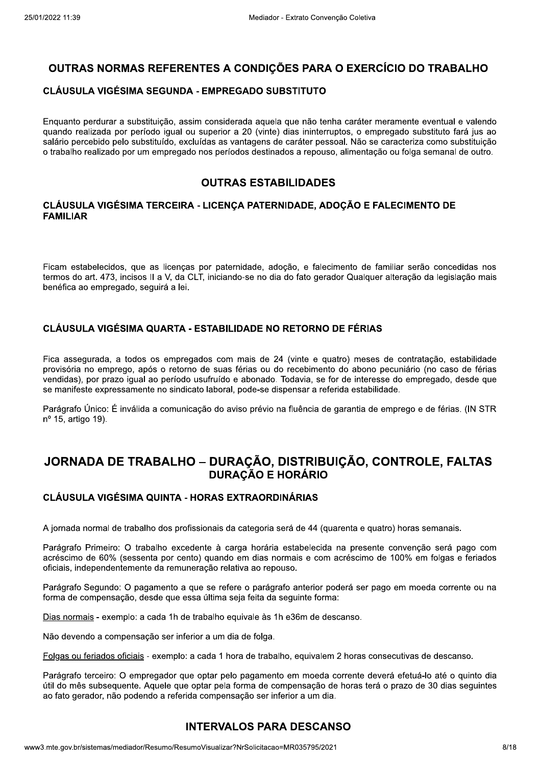# OUTRAS NORMAS REFERENTES A CONDIÇÕES PARA O EXERCÍCIO DO TRABALHO

#### CLÁUSULA VIGÉSIMA SEGUNDA - EMPREGADO SUBSTITUTO

Enquanto perdurar a substituição, assim considerada aquela que não tenha caráter meramente eventual e valendo quando realizada por período igual ou superior a 20 (vinte) dias ininterruptos, o empregado substituto fará jus ao salário percebido pelo substituído, excluídas as vantagens de caráter pessoal. Não se caracteriza como substituição o trabalho realizado por um empregado nos períodos destinados a repouso, alimentação ou folga semanal de outro.

## **OUTRAS ESTABILIDADES**

#### CLÁUSULA VIGÉSIMA TERCEIRA - LICENCA PATERNIDADE, ADOCÃO E FALECIMENTO DE **FAMILIAR**

Ficam estabelecidos, que as licencas por paternidade, adocão, e falecimento de familiar serão concedidas nos termos do art. 473, incisos II a V, da CLT, iniciando-se no dia do fato gerador Qualquer alteração da legislação mais benéfica ao empregado, seguirá a lei.

## CLÁUSULA VIGÉSIMA QUARTA - ESTABILIDADE NO RETORNO DE FÉRIAS

Fica assegurada, a todos os empregados com mais de 24 (vinte e quatro) meses de contratação, estabilidade provisória no emprego, após o retorno de suas férias ou do recebimento do abono pecuniário (no caso de férias vendidas), por prazo igual ao período usufruído e abonado. Todavia, se for de interesse do empregado, desde que se manifeste expressamente no sindicato laboral, pode-se dispensar a referida estabilidade.

Parágrafo Único: É inválida a comunicação do aviso prévio na fluência de garantia de emprego e de férias. (IN STR nº 15, artigo 19).

# JORNADA DE TRABALHO - DURAÇÃO, DISTRIBUIÇÃO, CONTROLE, FALTAS **DURAÇÃO E HORÁRIO**

## **CLÁUSULA VIGÉSIMA QUINTA - HORAS EXTRAORDINÁRIAS**

A jornada normal de trabalho dos profissionais da categoria será de 44 (quarenta e quatro) horas semanais.

Parágrafo Primeiro: O trabalho excedente à carga horária estabelecida na presente convenção será pago com acréscimo de 60% (sessenta por cento) quando em dias normais e com acréscimo de 100% em folgas e feriados oficiais, independentemente da remuneração relativa ao repouso.

Parágrafo Segundo: O pagamento a que se refere o parágrafo anterior poderá ser pago em moeda corrente ou na forma de compensação, desde que essa última seja feita da seguinte forma:

Dias normais - exemplo: a cada 1h de trabalho equivale às 1h e36m de descanso.

Não devendo a compensação ser inferior a um dia de folga.

Folgas ou feriados oficiais - exemplo: a cada 1 hora de trabalho, equivalem 2 horas consecutivas de descanso.

Parágrafo terceiro: O empregador que optar pelo pagamento em moeda corrente deverá efetuá-lo até o quinto dia útil do mês subsequente. Aquele que optar pela forma de compensação de horas terá o prazo de 30 dias sequintes ao fato gerador, não podendo a referida compensação ser inferior a um dia.

## **INTERVALOS PARA DESCANSO**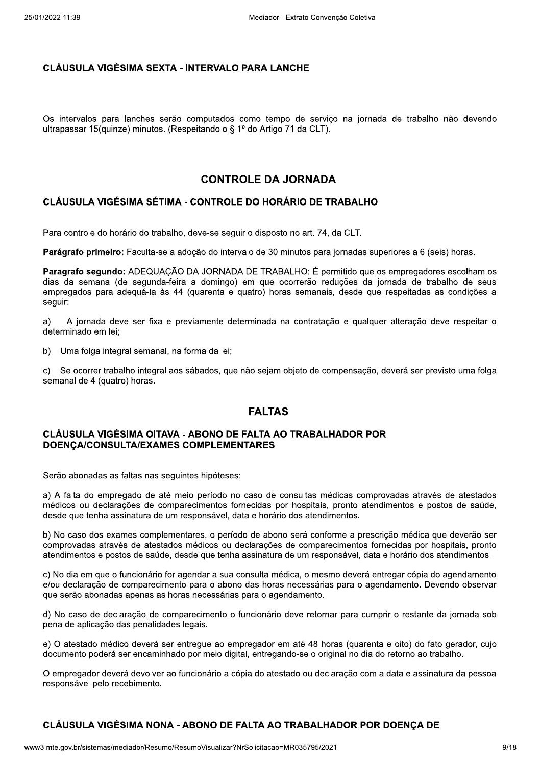#### **CLÁUSULA VIGÉSIMA SEXTA - INTERVALO PARA LANCHE**

Os intervalos para lanches serão computados como tempo de serviço na jornada de trabalho não devendo ultrapassar 15(quinze) minutos. (Respeitando o § 1º do Artigo 71 da CLT).

#### **CONTROLE DA JORNADA**

## CLÁUSULA VIGÉSIMA SÉTIMA - CONTROLE DO HORÁRIO DE TRABALHO

Para controle do horário do trabalho, deve-se seguir o disposto no art. 74, da CLT.

Parágrafo primeiro: Faculta-se a adoção do intervalo de 30 minutos para jornadas superiores a 6 (seis) horas.

Paragrafo segundo: ADEQUAÇÃO DA JORNADA DE TRABALHO: É permitido que os empregadores escolham os dias da semana (de segunda-feira a domingo) em que ocorrerão reduções da jornada de trabalho de seus empregados para adequá-la às 44 (quarenta e quatro) horas semanais, desde que respeitadas as condições a seguir:

 $a)$ A jornada deve ser fixa e previamente determinada na contratação e qualquer alteração deve respeitar o determinado em lei;

b) Uma folga integral semanal, na forma da lei;

 $\mathbf{c}$ ) Se ocorrer trabalho integral aos sábados, que não sejam objeto de compensação, deverá ser previsto uma folga semanal de 4 (quatro) horas.

## **FALTAS**

#### **CLÁUSULA VIGÉSIMA OITAVA - ABONO DE FALTA AO TRABALHADOR POR** DOENCA/CONSULTA/EXAMES COMPLEMENTARES

Serão abonadas as faltas nas seguintes hipóteses:

a) A falta do empregado de até meio período no caso de consultas médicas comprovadas através de atestados médicos ou declarações de comparecimentos fornecidas por hospitais, pronto atendimentos e postos de saúde. desde que tenha assinatura de um responsável, data e horário dos atendimentos.

b) No caso dos exames complementares, o período de abono será conforme a prescrição médica que deverão ser comprovadas através de atestados médicos ou declarações de comparecimentos fornecidas por hospitais, pronto atendimentos e postos de saúde, desde que tenha assinatura de um responsável, data e horário dos atendimentos.

c) No dia em que o funcionário for agendar a sua consulta médica, o mesmo deverá entregar cópia do agendamento e/ou declaração de comparecimento para o abono das horas necessárias para o agendamento. Devendo observar que serão abonadas apenas as horas necessárias para o agendamento.

d) No caso de declaração de comparecimento o funcionário deve retornar para cumprir o restante da jornada sob pena de aplicação das penalidades legais.

e) O atestado médico deverá ser entregue ao empregador em até 48 horas (quarenta e oito) do fato gerador, cujo documento poderá ser encaminhado por meio digital, entregando-se o original no dia do retorno ao trabalho.

O empregador deverá devolver ao funcionário a cópia do atestado ou declaração com a data e assinatura da pessoa responsável pelo recebimento.

## CLÁUSULA VIGÉSIMA NONA - ABONO DE FALTA AO TRABALHADOR POR DOENÇA DE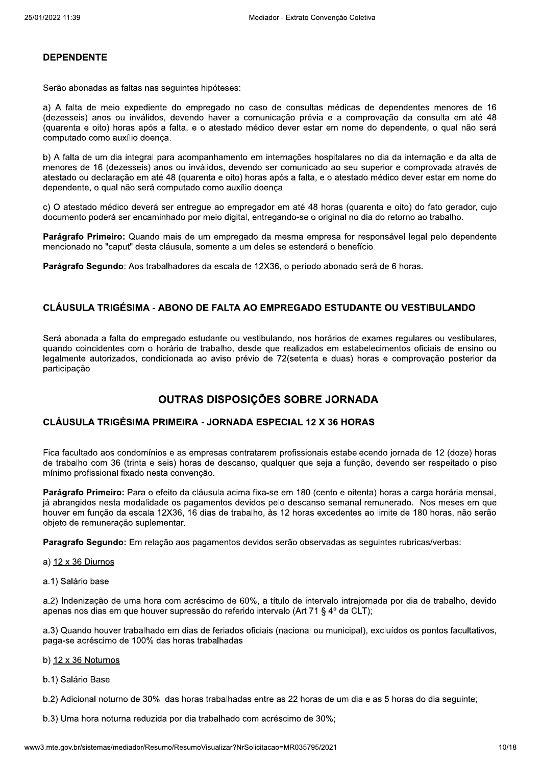#### **DEPENDENTE**

Serão abonadas as faltas nas seguintes hipóteses:

a) A falta de meio expediente do empregado no caso de consultas médicas de dependentes menores de 16 (dezesseis) anos ou inválidos, devendo haver a comunicação prévia e a comprovação da consulta em até 48 (quarenta e oito) horas após a falta, e o atestado médico dever estar em nome do dependente, o qual não será computado como auxílio doenca.

b) A falta de um dia integral para acompanhamento em internações hospitalares no dia da internação e da alta de menores de 16 (dezesseis) anos ou inválidos, devendo ser comunicado ao seu superior e comprovada através de atestado ou declaração em até 48 (quarenta e oito) horas após a falta, e o atestado médico dever estar em nome do dependente, o qual não será computado como auxílio doença.

c) O atestado médico deverá ser entregue ao empregador em até 48 horas (guarenta e oito) do fato gerador, cujo documento poderá ser encaminhado por meio digital, entregando-se o original no dia do retorno ao trabalho.

Parágrafo Primeiro: Quando mais de um empregado da mesma empresa for responsável legal pelo dependente mencionado no "caput" desta cláusula, somente a um deles se estenderá o benefício.

Parágrafo Segundo: Aos trabalhadores da escala de 12X36, o período abonado será de 6 horas.

#### CLÁUSULA TRIGÉSIMA - ABONO DE FALTA AO EMPREGADO ESTUDANTE OU VESTIBULANDO

Será abonada a falta do empregado estudante ou vestibulando, nos horários de exames regulares ou vestibulares, quando coincidentes com o horário de trabalho, desde que realizados em estabelecimentos oficiais de ensino ou legalmente autorizados, condicionada ao aviso prévio de 72(setenta e duas) horas e comprovação posterior da participação.

# OUTRAS DISPOSIÇÕES SOBRE JORNADA

#### **CLÁUSULA TRIGÉSIMA PRIMEIRA - JORNADA ESPECIAL 12 X 36 HORAS**

Fica facultado aos condomínios e as empresas contratarem profissionais estabelecendo jornada de 12 (doze) horas de trabalho com 36 (trinta e seis) horas de descanso, qualquer que seja a função, devendo ser respeitado o piso mínimo profissional fixado nesta convenção.

Parágrafo Primeiro: Para o efeito da cláusula acima fixa-se em 180 (cento e oitenta) horas a carga horária mensal. já abrangidos nesta modalidade os pagamentos devidos pelo descanso semanal remunerado. Nos meses em que houver em função da escala 12X36, 16 dias de trabalho, às 12 horas excedentes ao limite de 180 horas, não serão objeto de remuneração suplementar.

Paragrafo Segundo: Em relação aos pagamentos devidos serão observadas as seguintes rubricas/verbas:

#### a) 12 x 36 Diurnos

a.1) Salário base

a.2) Indenização de uma hora com acréscimo de 60%, a título de intervalo intrajornada por dia de trabalho, devido apenas nos dias em que houver supressão do referido intervalo (Art 71 § 4º da CLT);

a.3) Quando houver trabalhado em dias de feriados oficiais (nacional ou municipal), excluídos os pontos facultativos, paga-se acréscimo de 100% das horas trabalhadas

- b)  $12 \times 36$  Noturnos
- b.1) Salário Base

b.2) Adicional noturno de 30% das horas trabalhadas entre as 22 horas de um dia e as 5 horas do dia seguinte;

b.3) Uma hora noturna reduzida por dia trabalhado com acréscimo de 30%;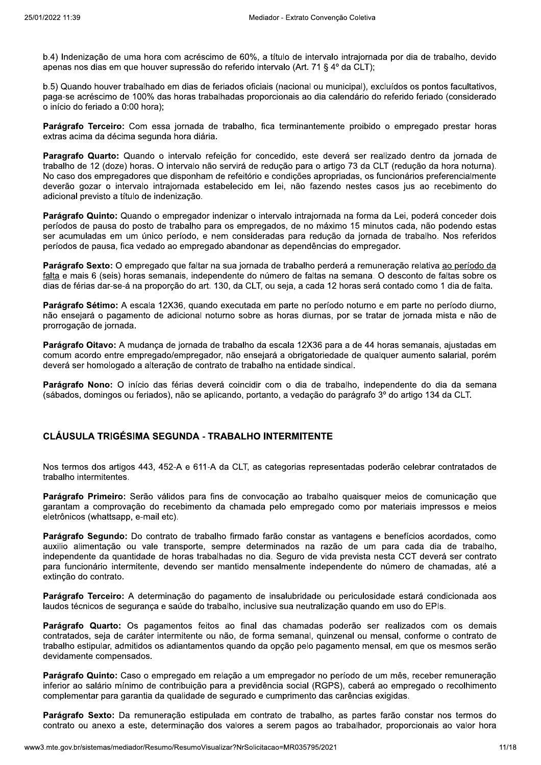b.4) Indenização de uma hora com acréscimo de 60%, a título de intervalo intraiornada por dia de trabalho, devido apenas nos dias em que houver supressão do referido intervalo (Art. 71 § 4º da CLT):

b.5) Quando houver trabalhado em dias de feriados oficiais (nacional ou municipal), excluídos os pontos facultativos, paga-se acréscimo de 100% das horas trabalhadas proporcionais ao dia calendário do referido feriado (considerado o início do feriado a 0:00 hora);

Parágrafo Terceiro: Com essa jornada de trabalho, fica terminantemente proibido o empregado prestar horas extras acima da décima segunda hora diária.

Paragrafo Quarto: Quando o intervalo refeição for concedido, este deverá ser realizado dentro da iornada de trabalho de 12 (doze) horas. O intervalo não servirá de redução para o artigo 73 da CLT (redução da hora noturna). No caso dos empregadores que disponham de refeitório e condições apropriadas, os funcionários preferencialmente deverão gozar o intervalo intraiornada estabelecido em lei, não fazendo nestes casos ius ao recebimento do adicional previsto a título de indenização.

Parágrafo Quinto: Quando o empregador indenizar o intervalo intrajornada na forma da Lei, poderá conceder dois períodos de pausa do posto de trabalho para os empregados, de no máximo 15 minutos cada, não podendo estas ser acumuladas em um único período, e nem consideradas para redução da jornada de trabalho. Nos referidos períodos de pausa, fica vedado ao empregado abandonar as dependências do empregador.

Parágrafo Sexto: O empregado que faltar na sua jornada de trabalho perderá a remuneração relativa ao período da falta e mais 6 (seis) horas semanais, independente do número de faltas na semana. O desconto de faltas sobre os dias de férias dar-se-á na proporção do art. 130, da CLT, ou seia, a cada 12 horas será contado como 1 dia de falta.

Parágrafo Sétimo: A escala 12X36, quando executada em parte no período noturno e em parte no período diurno, não ensejará o pagamento de adicional noturno sobre as horas diurnas, por se tratar de jornada mista e não de prorrogação de jornada.

Parágrafo Oitavo: A mudança de jornada de trabalho da escala 12X36 para a de 44 horas semanais, ajustadas em comum acordo entre empregado/empregador, não ensejará a obrigatoriedade de gualquer aumento salarial, porém deverá ser homologado a alteração de contrato de trabalho na entidade sindical.

Parágrafo Nono: O início das férias deverá coincidir com o dia de trabalho, independente do dia da semana (sábados, domingos ou feriados), não se aplicando, portanto, a vedação do parágrafo 3º do artigo 134 da CLT.

#### **CLÁUSULA TRIGÉSIMA SEGUNDA - TRABALHO INTERMITENTE**

Nos termos dos artigos 443, 452-A e 611-A da CLT, as categorias representadas poderão celebrar contratados de trabalho intermitentes.

Parágrafo Primeiro: Serão válidos para fins de convocação ao trabalho quaisquer meios de comunicação que garantam a comprovação do recebimento da chamada pelo empregado como por materiais impressos e meios eletrônicos (whattsapp, e-mail etc).

Parágrafo Segundo: Do contrato de trabalho firmado farão constar as vantagens e benefícios acordados, como auxilio alimentação ou vale transporte, sempre determinados na razão de um para cada dia de trabalho, independente da quantidade de horas trabalhadas no dia. Seguro de vida prevista nesta CCT deverá ser contrato para funcionário intermitente, devendo ser mantido mensalmente independente do número de chamadas, até a extincão do contrato.

Parágrafo Terceiro: A determinação do pagamento de insalubridade ou periculosidade estará condicionada aos laudos técnicos de seguranca e saúde do trabalho, inclusive sua neutralização quando em uso do EPIs.

Parágrafo Quarto: Os pagamentos feitos ao final das chamadas poderão ser realizados com os demais contratados, seja de caráter intermitente ou não, de forma semanal, quinzenal ou mensal, conforme o contrato de trabalho estipular, admitidos os adiantamentos quando da opção pelo pagamento mensal, em que os mesmos serão devidamente compensados.

Parágrafo Quinto: Caso o empregado em relação a um empregador no período de um mês, receber remuneração inferior ao salário mínimo de contribuição para a previdência social (RGPS), caberá ao empregado o recolhimento complementar para garantia da qualidade de segurado e cumprimento das carências exigidas.

Parágrafo Sexto: Da remuneração estipulada em contrato de trabalho, as partes farão constar nos termos do contrato ou anexo a este, determinação dos valores a serem pagos ao trabalhador, proporcionais ao valor hora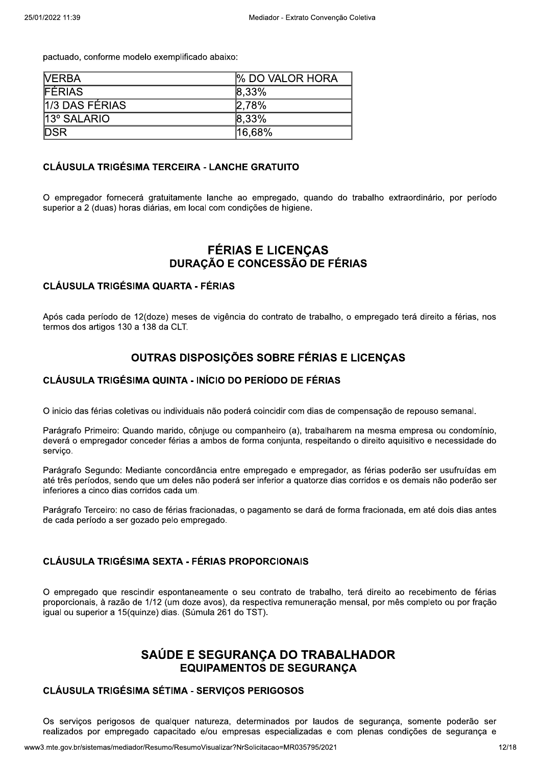pactuado, conforme modelo exemplificado abaixo:

| <b>NERBA</b>     | <b>% DO VALOR HORA</b> |
|------------------|------------------------|
| <b>FÉRIAS</b>    | $ 8,33\%$              |
| $1/3$ DAS FÉRIAS | 2.78%                  |
| 13° SALARIO      | $ 8,33\%$              |
| <b>DSR</b>       | 16,68%                 |

#### **CLÁUSULA TRIGÉSIMA TERCEIRA - LANCHE GRATUITO**

O empregador fornecerá gratuitamente lanche ao empregado, quando do trabalho extraordinário, por período superior a 2 (duas) horas diárias, em local com condições de higiene.

# **FÉRIAS E LICENÇAS** DURAÇÃO E CONCESSÃO DE FÉRIAS

#### **CLÁUSULA TRIGÉSIMA QUARTA - FÉRIAS**

Após cada período de 12(doze) meses de vigência do contrato de trabalho, o empregado terá direito a férias, nos termos dos artigos 130 a 138 da CLT.

## OUTRAS DISPOSIÇÕES SOBRE FÉRIAS E LICENÇAS

#### CLÁUSULA TRIGÉSIMA QUINTA - INÍCIO DO PERÍODO DE FÉRIAS

O inicio das férias coletivas ou individuais não poderá coincidir com dias de compensação de repouso semanal.

Parágrafo Primeiro: Quando marido, cônjuge ou companheiro (a), trabalharem na mesma empresa ou condomínio, deverá o empregador conceder férias a ambos de forma conjunta, respeitando o direito aquisitivo e necessidade do servico.

Parágrafo Segundo: Mediante concordância entre empregado e empregador, as férias poderão ser usufruídas em até três períodos, sendo que um deles não poderá ser inferior a quatorze dias corridos e os demais não poderão ser inferiores a cinco dias corridos cada um.

Parágrafo Terceiro: no caso de férias fracionadas, o pagamento se dará de forma fracionada, em até dois dias antes de cada período a ser gozado pelo empregado.

## **CLÁUSULA TRIGÉSIMA SEXTA - FÉRIAS PROPORCIONAIS**

O empregado que rescindir espontaneamente o seu contrato de trabalho, terá direito ao recebimento de férias proporcionais, à razão de 1/12 (um doze avos), da respectiva remuneração mensal, por mês completo ou por fração iqual ou superior a 15 (quinze) dias. (Súmula 261 do TST).

# SAÚDE E SEGURANCA DO TRABALHADOR **EQUIPAMENTOS DE SEGURANCA**

#### **CLÁUSULA TRIGÉSIMA SÉTIMA - SERVIÇOS PERIGOSOS**

Os servicos perigosos de qualquer natureza, determinados por laudos de segurança, somente poderão ser realizados por empregado capacitado e/ou empresas especializadas e com plenas condições de segurança e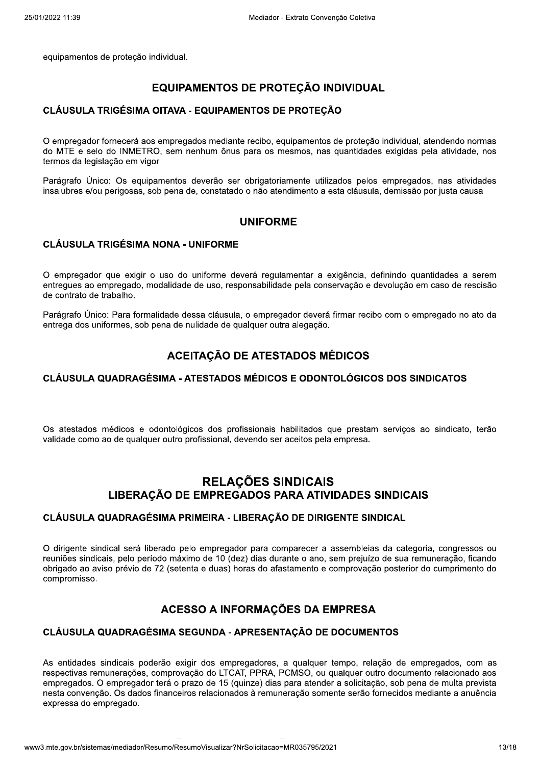eguipamentos de protecão individual.

# EQUIPAMENTOS DE PROTEÇÃO INDIVIDUAL

#### CLÁUSULA TRIGÉSIMA OITAVA - EQUIPAMENTOS DE PROTEÇÃO

O empregador fornecerá aos empregados mediante recibo, eguipamentos de proteção individual, atendendo normas EQUIPAME<br>
CLÁUSULA TRIGÉSIMA OITAVA - EQ<br>
O empregador fornecerá aos empregados<br>
do MTE e selo do INMETRO, sem nenhu<br>
termos da legislação em vigor.<br>
Parágrafo Único: Os equipamentos deve<br>
insalubres e/ou perigosas, sob pe udual.<br>
UIPAMENTOS DE PROTEÇÃO IND<br>
AVA - EQUIPAMENTOS DE PROTEÇÃO<br>
opregados mediante recibo, equipamentos de<br>
sem nenhum ônus para os mesmos, nas qu<br>
entos deverão ser obrigatoriamente utilizad<br>
ena de, constatado o não do MTE e selo do INMETRO, sem nenhum ônus para os mesmos, nas quantidades exigidas pela atividade, nos termos da legislação en CLÁUSULA TRIGÉSIMA OITAVA<br>O empregador fornecerá aos empreg<br>do MTE e selo do INMETRO, sem i<br>termos da legislação em vigor.<br>Parágrafo Único: Os equipamentos<br>insalubres e/ou perigosas, sob pena i<br>CLÁUSULA TRIGÉSIMA NONA -**GÉSIMA OITAVA - EQUIPAMENTOS DE**<br>necerá aos empregados mediante recibo, equ<br>dividir dividir de la provinción de la provinción de la provinción<br>Cos equipamentos deverão ser obrigatoriar<br>rigosas, sob pena de, constatado o n **DS DE PROTEÇÃO**<br>
ibo, equipamentos de proteção individual, ate<br>
a os mesmos, nas quantidades exigidas pela<br>
gatoriamente utilizados pelos empregados,<br>
ão atendimento a esta cláusula, demissão po<br> **FORME**<br>
regulamentar a e CLÁUSULA TRIGÉSIMA OITAVA - EQUIPAMENTOS DE PROTEÇÃO<br>O empregador fornecerá aos empregados mediante recibo, equipamentos de proteção individual, atendendo normas<br>do MTE e selo do INMETRO, sem nenhum ônus para os mesmos, na

quipamentos deverão ser obrigatoriamente utilizados pelos empregados, nas atividades insalubres e/ou perigosas, sob pena de, constatado o não atendimento a es

## UNIFORME

## **CLÁUSULA TRIGÉSIMA NONA - UNIFORME**

O empregador que exigir o uso do uniforme deverá regulamentar a exigência, definindo guantidades a serem pateriamiento a esta clausula, definissao por j $\blacksquare$ <br> **ORME**<br>
egulamentar a exigência, definindo quantidilidade pela conservação e devolução em ca<br>
pregador deverá firmar recibo com o empreg<br>
r outra alegação.<br> **ESTADOS M** entregues ao empregado. modalidade de uso, responsabilidade pela conservação e devolução em caso de res UNIFORME<br>
ME<br>
deverá regulamentar a exigência, definind<br>
responsabilidade pela conservação e devolug<br>
sula, o empregador deverá firmar recibo com<br>
e qualquer outra alegação.<br>
D DE ATESTADOS MÉDICOS ência, definindo quantidades a serem<br><sub>'aç</sub>ão e devolução em caso de rescisão<br>nar recibo com o empregado no ato da<br>**ICOS** UNIFORME<br>
CLÁUSULA TRIGÉSIMA NONA - UNIFORME<br>
O empregador que exigir o uso do uniforme deverá regulamentar a exigência, definindo quantidades a serem<br>
entregues ao empregado, modalidade de uso, responsabilidade pela conse CLÁUSULA TRIGÉSIM<br>
O empregador que exiginentregues ao empregado,<br>
de contrato de trabalho.<br>
Parágrafo Único: Para for<br>
entrega dos uniformes, so<br>
CLÁUSULA QUADRAC CLÁUSULA TRIGÉSIMA NONA -<br>
O empregador que exigir o uso do<br>
entregues ao empregado, modalidade<br>
de contrato de trabalho.<br>
Parágrafo Único: Para formalidade de trega dos uniformes, sob pena de<br> **ACI**<br>
CLÁUSULA QUADRAGÉSIMA ÉSIMA NONA - UNIFORME<br>
exigir o uso do uniforme deverá regulame<br>
gado, modalidade de uso, responsabilidade |<br>
lho.<br>
ara formalidade dessa cláusula, o empregado<br>
es, sob pena de nulidade de qualquer outra a<br> **ACEITAÇÃO DE A** llamentar a exigência, definindo quantidades a<br>ade pela conservação e devolução em caso de re<br>gador deverá firmar recibo com o empregado no<br>tra alegação.<br>**TADOS MÉDICOS**<br>DS E ODONTOLÓGICOS DOS SINDICATOS

dessa cláusula, o empregador deverá firmar recibo com o empregado no ato da entrega dos uniformes, sob pena de nulidade de qualquer outra alegação.

# ACEITAÇÃO DE ATESTADOS MÉDICOS

## CLÁUSULA QUADRAGÉSIMA - ATESTADOS MÉDICOS E ODONTOLÓGICOS DOS SINDICATOS

Os atestados médicos e odontológicos dos profissionais habilitados que prestam servicos ao sindicato, terão ACEITA<br>CLÁUSULA QUADRAGÉSIMA - ATES<br>Os atestados médicos e odontológicos<br>validade como ao de qualquer outro profiss<br>R<br>CLÁUSULA QUADRAGÉSIMA PRIME S<br>COS DOS SINDICATOS<br><sup>tam</sup> serviços ao sindicato, terão<br>a.<br>S SINDICAIS validade como ao de qualquer outro profissional, devendo ser aceitos pela empresa. CLÁUSULA QUADRAGÉSIN<br>
Os atestados médicos e odor<br>
validade como ao de qualquer d<br>
LIBERAÇÃ<br>
CLÁUSULA QUADRAGÉSIN

# ACEITAÇÃO DE ATESTADOS MÉDIQUADRAGÉSIMA - ATESTADOS MÉDICOS E ODONTOL<br>DUADRAGÉSIMA - ATESTADOS MÉDICOS E ODONTOL<br>médicos e odontológicos dos profissionais habilitados que<br>ao de qualquer outro profissional, devendo ser acei **AÇAO DE ATESTADOS MEDICOS<br>STADOS MÉDICOS E ODONTOLÓGICO<br>
STADOS MÉDICOS E ODONTOLÓGICO<br>
SIGOS profissionais habilitados que prestam<br>
ssional, devendo ser aceitos pela empresa.<br>
RELAÇÕES SINDICAIS<br>
MPREGADOS PARA ATIVIDADE** RELACÕES SINDICAIS LIBERACÃO DE EMPREGADOS PARA ATIVIDADES SINDICAIS

#### CLÁUSULA QUADRAGÉSIMA PRIMEIRA - LIBERAÇÃO DE DIRIGENTE SINDICAL

O dirigente sindical será liberado pelo empregador para comparecer a assembleias da categoria, congressos ou LIBERAÇÃO DE E<br>
CLÁUSULA QUADRAGÉSIMA PRII<br>
O dirigente sindical será liberado pelo<br>
reuniões sindicais, pelo período máxim<br>
obrigado ao aviso prévio de 72 (setenta<br>
compromisso.<br>
ACESS<br>
CLÁUSULA QUADRAGÉSIMA SEC RELAÇÕES SINDICAIS<br>
E EMPREGADOS PARA ATIVIDADES SINDICAIS<br>
RIMEIRA - LIBERAÇÃO DE DIRIGENTE SINDICAL<br>
elo empregador para comparecer a assembleias da categoria, congressos<br>
simo de 10 (dez) dias durante o ano, sem prejuíz **DES SINDICAIS<br>E SINDICAL<br>mbleias da categoria, congressos ou<br>prejuízo de sua remuneração, ficando<br>rovação posterior do cumprimento do<br>RESA<br>UMENTOS** reuniões sindicais, pelo período máximo de 10 (dez) dias durante o ano, sem prejuízo de sua remunera LIBERAÇÃO DI<br>CLÁUSULA QUADRAGÉSIMA P<br>O dirigente sindical será liberado p<br>reuniões sindicais, pelo período máx<br>obrigado ao aviso prévio de 72 (sete<br>compromisso.<br>**ACE**:<br>CLÁUSULA QUADRAGÉSIMA S RELAÇÕES SINDICAIS<br>
CLÁUSULA QUADRAGÉSIMA PRIMEIRA - LIBERAÇÃO DE DIRIGENTE SINDICAIS<br>
CLÁUSULA QUADRAGÉSIMA PRIMEIRA - LIBERAÇÃO DE DIRIGENTE SINDICAL<br>
O dirigente sindical será liberado pelo empregador para comparecer a 72 (setenta e duas) horas do afastamento e o NOCS PARA ATIVIDADES SINDICA<br>
BERAÇÃO DE DIRIGENTE SINDICAL<br>
Dr para comparecer a assembleias da categ<br>
z) dias durante o ano, sem prejuízo de sua re<br>
pras do afastamento e comprovação posterio<br>
DRMAÇÕES DA EMPRESA<br>
PRESEN **ADES SINDICAIS<br>
TE SINDICAL<br>
embleias da categoria, congressos ou<br>
prejuízo de sua remuneração, ficando<br>
provação posterior do cumprimento do<br>
RESA<br>
CUMENTOS** LIBERAÇÃO DE EMPREGADOS PARA ATIVIDADES SINDICAIS<br>CLÁUSULA QUADRAGÉSIMA PRIMEIRA - LIBERAÇÃO DE DIRIGENTE SINDICAL<br>O dirigente sindical será liberado pelo empregador para comparecer a assembleias da categoria, congressos o

# ACESSO A INFORMAÇÕES DA EMPRESA

#### CLÁUSULA QUADRAGÉSIMA SEGUNDA - APRESENTACÃO DE DOCUMENTOS

orazo de 15 (quinze) dias para atender a<br>iros relacionados à remuneração soment<br>sumoVisualizar?NrSolicitacao=MR035795/2021 As entidades sindicais poderão exigir dos empregadores, a gualguer tempo, relação de emprec **ACESSO**<br> **CLÁUSULA QUADRAGÉSIMA SEGU**<br>
As entidades sindicais poderão exigir d<br>
respectivas remunerações, comprovação<br>
empregados. O empregador terá o prazo<br>
nesta convenção. Os dados financeiros re<br>
expressa do empregado TOS<br>
cão de empregados, com as<br>
ro documento relacionado aos<br>
io, sob pena de multa prevista<br>
rrnecidos mediante a anuência<br>
13/18 respectivas remunerações, comprovação do LTCAT, PPRA, PCMSO, ou qualquer outro documento rela CLÁUSULA QUADRAGÉ<br>
As entidades sindicais pod<br>
respectivas remunerações,<br>
empregados. O empregador<br>
nesta convenção. Os dados<br>
expressa do empregado.<br>
www3.mte.gov.br/sistemas/mediador/Re ACESSO A INFORMAÇÕES DA EMPRES<br>
USULA QUADRAGÉSIMA SEGUNDA - APRESENTAÇÃO DE DOCUN<br>
Intidades sindicais poderão exigir dos empregadores, a qualquer tempo,<br>
citivas remunerações, comprovação do LTCAT, PPRA, PCMSO, ou qualqu A EMPRESA<br>
DE DOCUMENTOS<br>
quer tempo, relação de empregados, com<br>
, ou qualquer outro documento relacionado a<br>
tender a solicitação, sob pena de multa previ<br>
somente serão fornecidos mediante a anuên<br>
95/2021 **ACESSO A INFORMAÇÕES DA EMPRESA**<br>CLÁUSULA QUADRAGÉSIMA SEGUNDA - APRESENTAÇÃO DE DOCUMENTOS<br>As entidades sindicais poderão exigir dos empregadores, a qualquer tempo, relação de empregados, com as<br>respectivas remunerações, mpregados. O empregador terá o prazo de 15 (guinze) dias para atender a solicitação, sob pena de multa prevista COMES DA EMPRESA<br>
ENTAÇÃO DE DOCUMENTOS<br>
Ses, a qualquer tempo, relação de emprega<br>
A, PCMSO, ou qualquer outro documento rela<br>
ias para atender a solicitação, sob pena de r<br>
nuneração somente serão fornecidos mediant<br>
sao nesta convencão. Os dados financeiros relacionados à remuneração somente serão fornecidos mediante a CLÁUSULA QUADRAGÉS<br>
As entidades sindicais pod<br>
respectivas remunerações, c<br>
empregados. O empregador<br>
nesta convenção. Os dados<br>
expressa do empregado.<br>
www3.mte.gov.br/sistemas/mediador/Re A QUADRAGÉSIMA SEGUNDA - APRE<br>
les sindicais poderão exigir dos empregades<br>
is remunerações, comprovação do LTCAT, PP<br>
s. O empregador terá o prazo de 15 (quinze<br>
enção. Os dados financeiros relacionados à r<br>
o empregado.<br> ACESSU A INFURIMAÇUES<br>
RAGÉSIMA SEGUNDA - APRESENTAÇA<br>
Ais poderão exigir dos empregadores, a que poderão exigir dos empregadores, a que poses, comprovação do LTCAT, PPRA, PCMS<br>
egador terá o prazo de 15 (quinze) dias para **DA EMPRESA<br>
O DE DOCUMENTOS**<br>
alquer tempo, relação de empregados, con<br>
O, ou qualquer outro documento relacionado<br>
atender a solicitação, sob pena de multa prevo<br>
o somente serão fornecidos mediante a anuê<br>
5795/2021 ACESSU A INFURNIAÇUES DA ENIPRESE<br>CLÁUSULA QUADRAGÉSIMA SEGUNDA - APRESENTAÇÃO DE DOCUMENTOS<br>As entidades sindicais poderão exigir dos empregadores, a qualquer tempo, relação de empregados, com as<br>respectivas remunerações, xpressa do empregado.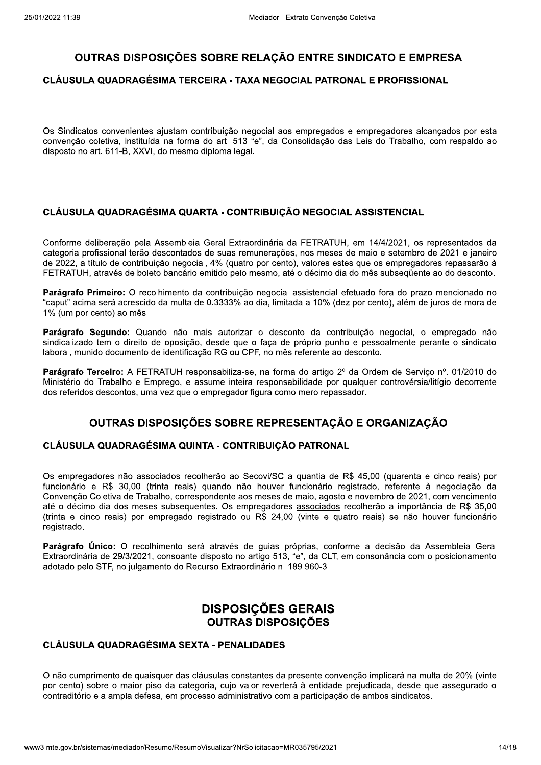## OUTRAS DISPOSIÇÕES SOBRE RELAÇÃO ENTRE SINDICATO E EMPRESA

#### CLÁUSULA QUADRAGÉSIMA TERCEIRA - TAXA NEGOCIAL PATRONAL E PROFISSIONAL

Os Sindicatos convenientes ajustam contribuição negocial aos empregados e empregadores alcançados por esta convenção coletiva, instituída na forma do art. 513 "e", da Consolidação das Leis do Trabalho, com respaldo ao disposto no art. 611-B, XXVI, do mesmo diploma legal.

#### CLÁUSULA QUADRAGÉSIMA QUARTA - CONTRIBUICÃO NEGOCIAL ASSISTENCIAL

Conforme deliberação pela Assembleia Geral Extraordinária da FETRATUH, em 14/4/2021, os representados da categoria profissional terão descontados de suas remunerações, nos meses de maio e setembro de 2021 e janeiro de 2022, a título de contribuição negocial, 4% (quatro por cento), valores estes que os empregadores repassarão à FETRATUH, através de boleto bancário emitido pelo mesmo, até o décimo dia do mês subsequente ao do desconto.

Parágrafo Primeiro: O recolhimento da contribuição negocial assistencial efetuado fora do prazo mencionado no "caput" acima será acrescido da multa de 0.3333% ao dia, limitada a 10% (dez por cento), além de juros de mora de 1% (um por cento) ao mês.

Parágrafo Segundo: Quando não mais autorizar o desconto da contribuição negocial, o empregado não sindicalizado tem o direito de oposicão, desde que o faca de próprio punho e pessoalmente perante o sindicato laboral, munido documento de identificação RG ou CPF, no mês referente ao desconto.

Parágrafo Terceiro: A FETRATUH responsabiliza-se, na forma do artigo 2º da Ordem de Serviço nº. 01/2010 do Ministério do Trabalho e Emprego, e assume inteira responsabilidade por qualquer controvérsia/litígio decorrente dos referidos descontos, uma vez que o empregador figura como mero repassador.

## OUTRAS DISPOSICÕES SOBRE REPRESENTACÃO E ORGANIZACÃO

#### CLÁUSULA QUADRAGÉSIMA QUINTA - CONTRIBUIÇÃO PATRONAL

Os empregadores não associados recolherão ao Secovi/SC a quantia de R\$ 45,00 (quarenta e cinco reais) por funcionário e R\$ 30,00 (trinta reais) quando não houver funcionário registrado, referente à negociação da Convenção Coletiva de Trabalho, correspondente aos meses de maio, agosto e novembro de 2021, com vencimento até o décimo dia dos meses subsequentes. Os empregadores associados recolherão a importância de R\$ 35,00 (trinta e cinco reais) por empregado registrado ou R\$ 24,00 (vinte e guatro reais) se não houver funcionário registrado.

Parágrafo Único: O recolhimento será através de guias próprias, conforme a decisão da Assembleia Geral Extraordinária de 29/3/2021, consoante disposto no artigo 513, "e", da CLT, em consonância com o posicionamento adotado pelo STF, no julgamento do Recurso Extraordinário n. 189.960-3.

# **DISPOSIÇÕES GERAIS OUTRAS DISPOSICÕES**

#### **CLÁUSULA QUADRAGÉSIMA SEXTA - PENALIDADES**

O não cumprimento de quaisquer das cláusulas constantes da presente convenção implicará na multa de 20% (vinte por cento) sobre o maior piso da categoria, cujo valor reverterá à entidade prejudicada, desde que assegurado o contraditório e a ampla defesa, em processo administrativo com a participação de ambos sindicatos.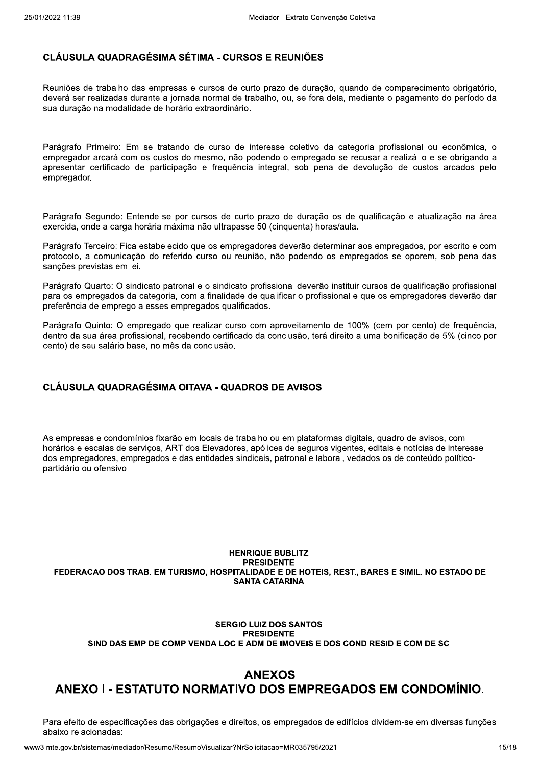#### CLÁUSULA QUADRAGÉSIMA SÉTIMA - CURSOS E REUNIÕES

Reuniões de trabalho das empresas e cursos de curto prazo de duração, quando de comparecimento obrigatório, deverá ser realizadas durante a jornada normal de trabalho, ou, se fora dela, mediante o pagamento do período da sua duração na modalidade de horário extraordinário.

Parágrafo Primeiro: Em se tratando de curso de interesse coletivo da categoria profissional ou econômica, o empregador arcará com os custos do mesmo, não podendo o empregado se recusar a realizá-lo e se obrigando a apresentar certificado de participação e freguência integral, sob pena de devolução de custos arcados pelo empregador.

Parágrafo Segundo: Entende-se por cursos de curto prazo de duração os de qualificação e atualização na área exercida, onde a carga horária máxima não ultrapasse 50 (cinquenta) horas/aula.

Parágrafo Terceiro: Fica estabelecido que os empregadores deverão determinar aos empregados, por escrito e com protocolo, a comunicação do referido curso ou reunião, não podendo os empregados se oporem, sob pena das sanções previstas em lei.

Parágrafo Quarto: O sindicato patronal e o sindicato profissional deverão instituir cursos de qualificação profissional para os empregados da categoria, com a finalidade de gualificar o profissional e que os empregadores deverão dar preferência de emprego a esses empregados qualificados.

Parágrafo Quinto: O empregado que realizar curso com aproveitamento de 100% (cem por cento) de freguência. dentro da sua área profissional, recebendo certificado da conclusão, terá direito a uma bonificação de 5% (cinco por cento) de seu salário base, no mês da conclusão.

## **CLÁUSULA QUADRAGÉSIMA OITAVA - QUADROS DE AVISOS**

As empresas e condomínios fixarão em locais de trabalho ou em plataformas digitais, quadro de avisos, com horários e escalas de servicos, ART dos Elevadores, apólices de seguros vigentes, editais e notícias de interesse dos empregadores, empregados e das entidades sindicais, patronal e laboral, vedados os de conteúdo políticopartidário ou ofensivo.

#### **HENRIQUE BUBLITZ PRESIDENTE** FEDERACAO DOS TRAB. EM TURISMO, HOSPITALIDADE E DE HOTEIS, REST., BARES E SIMIL. NO ESTADO DE **SANTA CATARINA**

#### **SERGIO LUIZ DOS SANTOS PRESIDENTE** SIND DAS EMP DE COMP VENDA LOC E ADM DE IMOVEIS E DOS COND RESID E COM DE SC

# **ANEXOS** ANEXO I - ESTATUTO NORMATIVO DOS EMPREGADOS EM CONDOMÍNIO.

Para efeito de especificações das obrigações e direitos, os empregados de edifícios dividem-se em diversas funções abaixo relacionadas: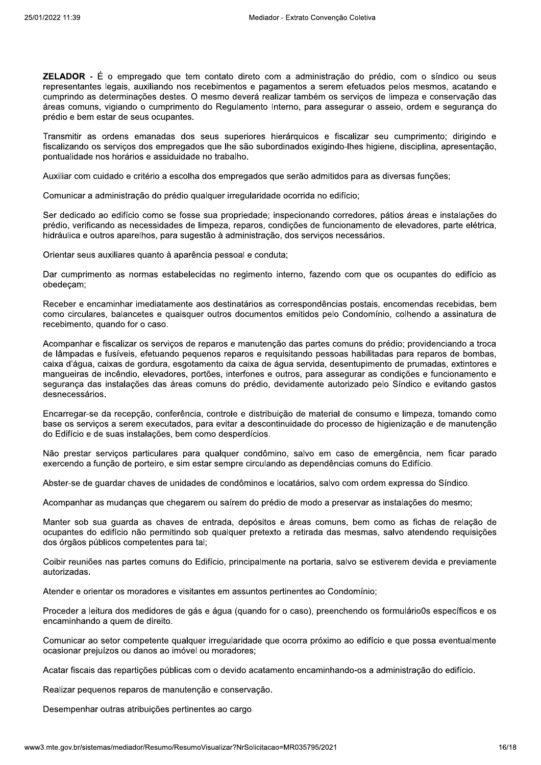**ZELADOR** - É o empregado que tem contato direto com a administração do prédio, com o síndico ou seus representantes legais, auxiliando nos recebimentos e pagamentos a serem efetuados pelos mesmos, acatando e cumprindo as determinações destes. O mesmo deverá realizar também os servicos de limpeza e conservação das áreas comuns, vigiando o cumprimento do Regulamento Interno, para assegurar o asseio, ordem e seguranca do prédio e bem estar de seus ocupantes.

Transmitir as ordens emanadas dos seus superiores hierárquicos e fiscalizar seu cumprimento; dirigindo e fiscalizando os servicos dos empregados que lhe são subordinados exigindo-lhes higiene, disciplina, apresentação, pontualidade nos horários e assiduidade no trabalho.

Auxiliar com cuidado e critério a escolha dos empregados que serão admitidos para as diversas funções:

Comunicar a administração do prédio qualquer irregularidade ocorrida no edifício:

Ser dedicado ao edifício como se fosse sua propriedade; inspecionando corredores, pátios áreas e instalações do prédio, verificando as necessidades de limpeza, reparos, condições de funcionamento de elevadores, parte elétrica, hidráulica e outros aparelhos, para sugestão à administração, dos servicos necessários.

Orientar seus auxiliares quanto à aparência pessoal e conduta:

Dar cumprimento as normas estabelecidas no regimento interno, fazendo com que os ocupantes do edifício as obedecam;

Receber e encaminhar imediatamente aos destinatários as correspondências postais, encomendas recebidas, bem como circulares, balancetes e quaisquer outros documentos emitidos pelo Condomínio, colhendo a assinatura de recebimento, quando for o caso.

Acompanhar e fiscalizar os servicos de reparos e manutenção das partes comuns do prédio; providenciando a troca de lâmpadas e fusíveis, efetuando pequenos reparos e requisitando pessoas habilitadas para reparos de bombas, caixa d'água, caixas de gordura, esgotamento da caixa de água servida, desentupimento de prumadas, extintores e mangueiras de incêndio, elevadores, portões, interfones e outros, para assegurar as condições e funcionamento e seguranca das instalações das áreas comuns do prédio, devidamente autorizado pelo Síndico e evitando gastos desnecessários.

Encarregar-se da recepção, conferência, controle e distribuição de material de consumo e limpeza, tomando como base os servicos a serem executados, para evitar a descontinuidade do processo de higienização e de manutenção do Edifício e de suas instalações, bem como desperdícios.

Não prestar servicos particulares para qualquer condômino, salvo em caso de emergência, nem ficar parado exercendo a função de porteiro, e sim estar sempre circulando as dependências comuns do Edifício.

Abster-se de quardar chaves de unidades de condôminos e locatários, salvo com ordem expressa do Síndico.

Acompanhar as mudanças que chegarem ou saírem do prédio de modo a preservar as instalações do mesmo;

Manter sob sua guarda as chaves de entrada, depósitos e áreas comuns, bem como as fichas de relação de ocupantes do edifício não permitindo sob qualquer pretexto a retirada das mesmas, salvo atendendo requisições dos órgãos públicos competentes para tal;

Coibir reuniões nas partes comuns do Edifício, principalmente na portaria, salvo se estiverem devida e previamente autorizadas.

Atender e orientar os moradores e visitantes em assuntos pertinentes ao Condomínio;

Proceder a leitura dos medidores de gás e água (quando for o caso), preenchendo os formulário0s específicos e os encaminhando a quem de direito.

Comunicar ao setor competente qualquer irregularidade que ocorra próximo ao edifício e que possa eventualmente ocasionar prejuízos ou danos ao imóvel ou moradores;

Acatar fiscais das repartições públicas com o devido acatamento encaminhando-os a administração do edifício.

Realizar pequenos reparos de manutenção e conservação.

Desempenhar outras atribuições pertinentes ao cargo.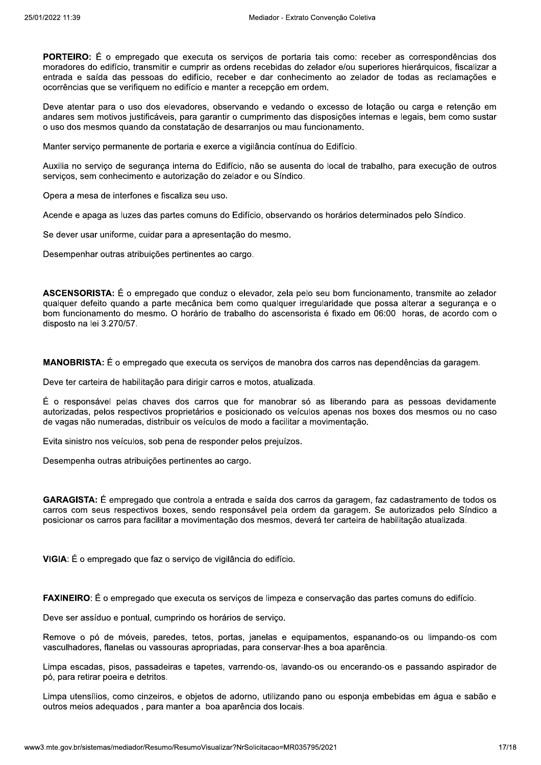PORTEIRO: É o empregado que executa os serviços de portaria tais como: receber as correspondências dos moradores do edifício, transmitir e cumprir as ordens recebidas do zelador e/ou superiores hierárquicos, fiscalizar a entrada e saída das pessoas do edifício, receber e dar conhecimento ao zelador de todas as reclamações e ocorrências que se verifiquem no edifício e manter a recepção em ordem.

Deve atentar para o uso dos elevadores, observando e vedando o excesso de lotação ou carga e retenção em andares sem motivos justificáveis, para garantir o cumprimento das disposições internas e legais, bem como sustar o uso dos mesmos quando da constatação de desarranjos ou mau funcionamento.

Manter serviço permanente de portaria e exerce a vigilância contínua do Edifício.

Auxilia no servico de seguranca interna do Edifício, não se ausenta do local de trabalho, para execução de outros servicos, sem conhecimento e autorização do zelador e ou Síndico.

Opera a mesa de interfones e fiscaliza seu uso.

Acende e apaga as luzes das partes comuns do Edifício, observando os horários determinados pelo Síndico.

Se dever usar uniforme, cuidar para a apresentação do mesmo.

Desempenhar outras atribuições pertinentes ao cargo.

ASCENSORISTA: É o empregado que conduz o elevador, zela pelo seu bom funcionamento, transmite ao zelador qualquer defeito quando a parte mecânica bem como qualquer irregularidade que possa alterar a segurança e o bom funcionamento do mesmo. O horário de trabalho do ascensorista é fixado em 06:00 horas, de acordo com o disposto na lei 3.270/57.

MANOBRISTA: É o empregado que executa os serviços de manobra dos carros nas dependências da garagem.

Deve ter carteira de habilitação para dirigir carros e motos, atualizada.

É o responsável pelas chaves dos carros que for manobrar só as liberando para as pessoas devidamente autorizadas, pelos respectivos proprietários e posicionado os veículos apenas nos boxes dos mesmos ou no caso de vagas não numeradas, distribuir os veículos de modo a facilitar a movimentação.

Evita sinistro nos veículos, sob pena de responder pelos prejuízos.

Desempenha outras atribuições pertinentes ao cargo.

**GARAGISTA:** É empregado que controla a entrada e saída dos carros da garagem, faz cadastramento de todos os carros com seus respectivos boxes, sendo responsável pela ordem da garagem. Se autorizados pelo Síndico a posicionar os carros para facilitar a movimentação dos mesmos, deverá ter carteira de habilitação atualizada.

VIGIA: É o empregado que faz o serviço de vigilância do edifício.

FAXINEIRO: É o empregado que executa os serviços de limpeza e conservação das partes comuns do edifício.

Deve ser assíduo e pontual, cumprindo os horários de serviço.

Remove o pó de móveis, paredes, tetos, portas, janelas e equipamentos, espanando-os ou limpando-os com vasculhadores, flanelas ou vassouras apropriadas, para conservar-lhes a boa aparência.

Limpa escadas, pisos, passadeiras e tapetes, varrendo-os, lavando-os ou encerando-os e passando aspirador de pó, para retirar poeira e detritos.

Limpa utensílios, como cinzeiros, e objetos de adorno, utilizando pano ou esponja embebidas em água e sabão e outros meios adeguados, para manter a boa aparência dos locais.